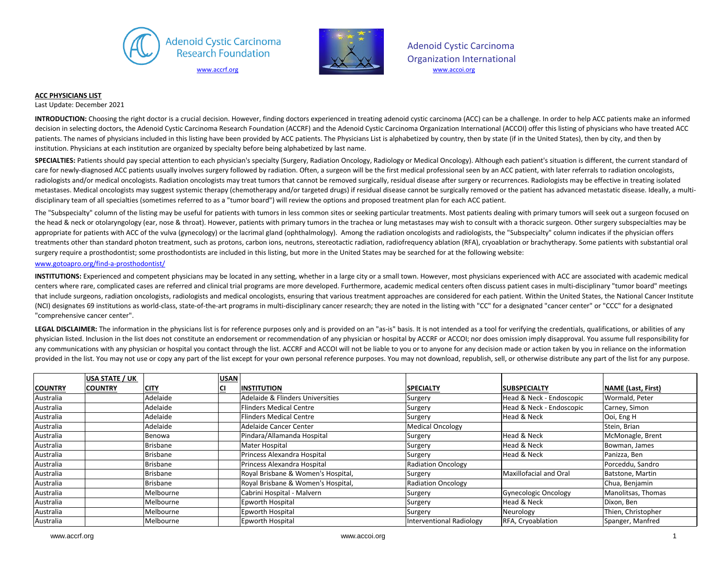



Adenoid Cystic Carcinoma Organization International

## **ACC PHYSICIANS LIST**

Last Update: December 2021

**INTRODUCTION:** Choosing the right doctor is a crucial decision. However, finding doctors experienced in treating adenoid cystic carcinoma (ACC) can be a challenge. In order to help ACC patients make an informed decision in selecting doctors, the Adenoid Cystic Carcinoma Research Foundation (ACCRF) and the Adenoid Cystic Carcinoma Organization International (ACCOI) offer this listing of physicians who have treated ACC patients. The names of physicians included in this listing have been provided by ACC patients. The Physicians List is alphabetized by country, then by state (if in the United States), then by city, and then by institution. Physicians at each institution are organized by specialty before being alphabetized by last name.

**SPECIALTIES:** Patients should pay special attention to each physician's specialty (Surgery, Radiation Oncology, Radiology or Medical Oncology). Although each patient's situation is different, the current standard of care for newly-diagnosed ACC patients usually involves surgery followed by radiation. Often, a surgeon will be the first medical professional seen by an ACC patient, with later referrals to radiation oncologists, radiologists and/or medical oncologists. Radiation oncologists may treat tumors that cannot be removed surgically, residual disease after surgery or recurrences. Radiologists may be effective in treating isolated metastases. Medical oncologists may suggest systemic therapy (chemotherapy and/or targeted drugs) if residual disease cannot be surgically removed or the patient has advanced metastatic disease. Ideally, a multidisciplinary team of all specialties (sometimes referred to as a "tumor board") will review the options and proposed treatment plan for each ACC patient.

The "Subspecialty" column of the listing may be useful for patients with tumors in less common sites or seeking particular treatments. Most patients dealing with primary tumors will seek out a surgeon focused on the head & neck or otolaryngology (ear, nose & throat). However, patients with primary tumors in the trachea or lung metastases may wish to consult with a thoracic surgeon. Other surgery subspecialties may be appropriate for patients with ACC of the vulva (gynecology) or the lacrimal gland (ophthalmology). Among the radiation oncologists and radiologists, the "Subspecialty" column indicates if the physician offers treatments other than standard photon treatment, such as protons, carbon ions, neutrons, stereotactic radiation, radiofrequency ablation (RFA), cryoablation or brachytherapy. Some patients with substantial oral surgery require a prosthodontist; some prosthodontists are included in this listing, but more in the United States may be searched for at the following website:

## www.gotoapro.org/find-a-prosthodontist/

**INSTITUTIONS:** Experienced and competent physicians may be located in any setting, whether in a large city or a small town. However, most physicians experienced with ACC are associated with academic medical centers where rare, complicated cases are referred and clinical trial programs are more developed. Furthermore, academic medical centers often discuss patient cases in multi-disciplinary "tumor board" meetings that include surgeons, radiation oncologists, radiologists and medical oncologists, ensuring that various treatment approaches are considered for each patient. Within the United States, the National Cancer Institute (NCI) designates 69 institutions as world-class, state-of-the-art programs in multi-disciplinary cancer research; they are noted in the listing with "CC" for a designated "cancer center" or "CCC" for a designated "comprehensive cancer center".

LEGAL DISCLAIMER: The information in the physicians list is for reference purposes only and is provided on an "as-is" basis. It is not intended as a tool for verifying the credentials, qualifications, or abilities of any physician listed. Inclusion in the list does not constitute an endorsement or recommendation of any physician or hospital by ACCRF or ACCOI; nor does omission imply disapproval. You assume full responsibility for any communications with any physician or hospital you contact through the list. ACCRF and ACCOI will not be liable to you or to anyone for any decision made or action taken by you in reliance on the information provided in the list. You may not use or copy any part of the list except for your own personal reference purposes. You may not download, republish, sell, or otherwise distribute any part of the list for any purpose.

|                | <b>USA STATE / UK</b> |             | <b>USAN</b> |                                    |                           |                             |                    |
|----------------|-----------------------|-------------|-------------|------------------------------------|---------------------------|-----------------------------|--------------------|
| <b>COUNTRY</b> | <b>COUNTRY</b>        | <b>CITY</b> | CI          | <b>INSTITUTION</b>                 | <b>SPECIALTY</b>          | <b>SUBSPECIALTY</b>         | NAME (Last, First) |
| Australia      |                       | Adelaide    |             | Adelaide & Flinders Universities   | Surgery                   | Head & Neck - Endoscopic    | Wormald, Peter     |
| Australia      |                       | Adelaide    |             | <b>Flinders Medical Centre</b>     | Surgery                   | Head & Neck - Endoscopic    | Carney, Simon      |
| Australia      |                       | Adelaide    |             | <b>Flinders Medical Centre</b>     | Surgery                   | Head & Neck                 | Ooi, Eng H         |
| Australia      |                       | Adelaide    |             | Adelaide Cancer Center             | <b>Medical Oncology</b>   |                             | Stein, Brian       |
| Australia      |                       | Benowa      |             | Pindara/Allamanda Hospital         | Surgery                   | Head & Neck                 | McMonagle, Brent   |
| Australia      |                       | Brisbane    |             | Mater Hospital                     | Surgery                   | Head & Neck                 | Bowman, James      |
| Australia      |                       | Brisbane    |             | Princess Alexandra Hospital        | Surgery                   | Head & Neck                 | Panizza, Ben       |
| Australia      |                       | Brisbane    |             | Princess Alexandra Hospital        | <b>Radiation Oncology</b> |                             | Porceddu, Sandro   |
| Australia      |                       | Brisbane    |             | Royal Brisbane & Women's Hospital, | Surgery                   | Maxillofacial and Oral      | Batstone, Martin   |
| Australia      |                       | Brisbane    |             | Royal Brisbane & Women's Hospital, | <b>Radiation Oncology</b> |                             | Chua, Benjamin     |
| Australia      |                       | Melbourne   |             | Cabrini Hospital - Malvern         | Surgery                   | <b>Gynecologic Oncology</b> | Manolitsas, Thomas |
| Australia      |                       | Melbourne   |             | Epworth Hospital                   | Surgery                   | Head & Neck                 | Dixon, Ben         |
| Australia      |                       | Melbourne   |             | Epworth Hospital                   | Surgery                   | Neurology                   | Thien, Christopher |
| Australia      |                       | Melbourne   |             | <b>Epworth Hospital</b>            | Interventional Radiology  | RFA, Cryoablation           | Spanger, Manfred   |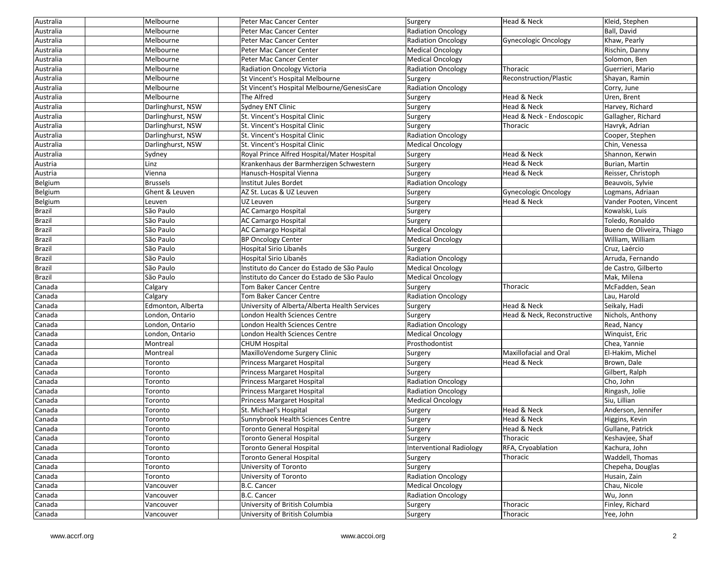| Australia     | Melbourne         | Peter Mac Cancer Center                       | Surgery                   | Head & Neck                 | Kleid, Stephen            |
|---------------|-------------------|-----------------------------------------------|---------------------------|-----------------------------|---------------------------|
| Australia     | Melbourne         | Peter Mac Cancer Center                       | <b>Radiation Oncology</b> |                             | Ball, David               |
| Australia     | Melbourne         | Peter Mac Cancer Center                       | <b>Radiation Oncology</b> | Gynecologic Oncology        | Khaw, Pearly              |
| Australia     | Melbourne         | Peter Mac Cancer Center                       | <b>Medical Oncology</b>   |                             | Rischin, Danny            |
| Australia     | Melbourne         | Peter Mac Cancer Center                       | <b>Medical Oncology</b>   |                             | Solomon, Ben              |
| Australia     | Melbourne         | <b>Radiation Oncology Victoria</b>            | <b>Radiation Oncology</b> | Thoracic                    | Guerrieri, Mario          |
| Australia     | Melbourne         | St Vincent's Hospital Melbourne               | Surgery                   | Reconstruction/Plastic      | Shayan, Ramin             |
| Australia     | Melbourne         | St Vincent's Hospital Melbourne/GenesisCare   | Radiation Oncology        |                             | Corry, June               |
| Australia     | Melbourne         | The Alfred                                    | Surgery                   | Head & Neck                 | Uren, Brent               |
| Australia     | Darlinghurst, NSW | Sydney ENT Clinic                             | Surgery                   | Head & Neck                 | Harvey, Richard           |
| Australia     | Darlinghurst, NSW | St. Vincent's Hospital Clinic                 | Surgery                   | Head & Neck - Endoscopic    | Gallagher, Richard        |
| Australia     | Darlinghurst, NSW | St. Vincent's Hospital Clinic                 | Surgery                   | Thoracic                    | Havryk, Adrian            |
| Australia     | Darlinghurst, NSW | St. Vincent's Hospital Clinic                 | <b>Radiation Oncology</b> |                             | Cooper, Stephen           |
| Australia     | Darlinghurst, NSW | St. Vincent's Hospital Clinic                 | <b>Medical Oncology</b>   |                             | Chin, Venessa             |
| Australia     | Sydney            | Royal Prince Alfred Hospital/Mater Hospital   | Surgery                   | Head & Neck                 | Shannon, Kerwin           |
| Austria       | Linz              | Krankenhaus der Barmherzigen Schwestern       | Surgery                   | Head & Neck                 | Burian, Martin            |
| Austria       | Vienna            | Hanusch-Hospital Vienna                       | Surgery                   | Head & Neck                 | Reisser, Christoph        |
| Belgium       | <b>Brussels</b>   | Institut Jules Bordet                         | <b>Radiation Oncology</b> |                             | Beauvois, Sylvie          |
| Belgium       | Ghent & Leuven    | AZ St. Lucas & UZ Leuven                      | Surgery                   | Gynecologic Oncology        | Logmans, Adriaan          |
| Belgium       | Leuven            | UZ Leuven                                     | Surgery                   | Head & Neck                 | Vander Pooten, Vincent    |
| Brazil        | São Paulo         | <b>AC Camargo Hospital</b>                    | Surgery                   |                             | Kowalski, Luis            |
| Brazil        | São Paulo         | <b>AC Camargo Hospital</b>                    | Surgery                   |                             | Toledo, Ronaldo           |
| <b>Brazil</b> | São Paulo         | <b>AC Camargo Hospital</b>                    | <b>Medical Oncology</b>   |                             | Bueno de Oliveira, Thiago |
| Brazil        | São Paulo         | <b>BP Oncology Center</b>                     | Medical Oncology          |                             | William, William          |
| <b>Brazil</b> | São Paulo         | Hospital Sirio Libanês                        | Surgery                   |                             | Cruz, Laércio             |
| Brazil        | São Paulo         | Hospital Sirio Libanês                        | Radiation Oncology        |                             | Arruda, Fernando          |
| <b>Brazil</b> | São Paulo         | Instituto do Cancer do Estado de São Paulo    | <b>Medical Oncology</b>   |                             | de Castro, Gilberto       |
| Brazil        | São Paulo         | Instituto do Cancer do Estado de São Paulo    | <b>Medical Oncology</b>   |                             | Mak, Milena               |
| Canada        | Calgary           | Tom Baker Cancer Centre                       | Surgery                   | Thoracic                    | McFadden, Sean            |
| Canada        | Calgary           | <b>Tom Baker Cancer Centre</b>                | <b>Radiation Oncology</b> |                             | Lau, Harold               |
| Canada        | Edmonton, Alberta | University of Alberta/Alberta Health Services | Surgery                   | Head & Neck                 | Seikaly, Hadi             |
| Canada        | London, Ontario   | London Health Sciences Centre                 | Surgery                   | Head & Neck, Reconstructive | Nichols, Anthony          |
| Canada        | London, Ontario   | London Health Sciences Centre                 | <b>Radiation Oncology</b> |                             | Read, Nancy               |
| Canada        | London, Ontario   | London Health Sciences Centre                 | <b>Medical Oncology</b>   |                             | Winquist, Eric            |
| Canada        | Montreal          | <b>CHUM Hospital</b>                          | Prosthodontist            |                             | Chea, Yannie              |
| Canada        | Montreal          | MaxilloVendome Surgery Clinic                 | Surgery                   | Maxillofacial and Oral      | El-Hakim, Michel          |
| Canada        | Toronto           | <b>Princess Margaret Hospital</b>             | Surgery                   | Head & Neck                 | Brown, Dale               |
| Canada        | Toronto           | <b>Princess Margaret Hospital</b>             | Surgery                   |                             | Gilbert, Ralph            |
| Canada        | Toronto           | <b>Princess Margaret Hospital</b>             | <b>Radiation Oncology</b> |                             | Cho, John                 |
| Canada        | Toronto           | Princess Margaret Hospital                    | <b>Radiation Oncology</b> |                             | Ringash, Jolie            |
| Canada        | Toronto           | <b>Princess Margaret Hospital</b>             | <b>Medical Oncology</b>   |                             | Siu, Lillian              |
| Canada        | Toronto           | St. Michael's Hospital                        | Surgery                   | Head & Neck                 | Anderson, Jennifer        |
| Canada        | Toronto           | Sunnybrook Health Sciences Centre             | Surgery                   | Head & Neck                 | Higgins, Kevin            |
| Canada        | Toronto           | <b>Toronto General Hospital</b>               | Surgery                   | Head & Neck                 | Gullane, Patrick          |
| Canada        | Toronto           | <b>Toronto General Hospital</b>               | Surgery                   | Thoracic                    | Keshavjee, Shaf           |
| Canada        | Toronto           | <b>Toronto General Hospital</b>               | Interventional Radiology  | RFA, Cryoablation           | Kachura, John             |
| Canada        | Toronto           | <b>Toronto General Hospital</b>               | Surgery                   | Thoracic                    | Waddell, Thomas           |
| Canada        | Toronto           | University of Toronto                         | Surgery                   |                             | Chepeha, Douglas          |
| Canada        | Toronto           | University of Toronto                         | <b>Radiation Oncology</b> |                             | Husain, Zain              |
| Canada        | Vancouver         | <b>B.C. Cancer</b>                            | <b>Medical Oncology</b>   |                             | Chau, Nicole              |
| Canada        | Vancouver         | <b>B.C. Cancer</b>                            | <b>Radiation Oncology</b> |                             | Wu, Jonn                  |
| Canada        | Vancouver         | University of British Columbia                | Surgery                   | Thoracic                    | Finley, Richard           |
| Canada        | Vancouver         | University of British Columbia                | Surgery                   | Thoracic                    | Yee, John                 |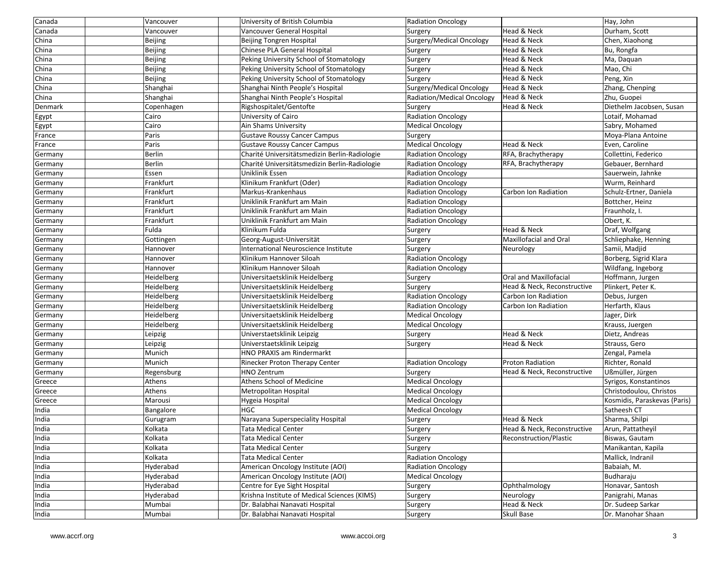| Canada  | Vancouver         | University of British Columbia                | Radiation Oncology         |                             | Hay, John                    |
|---------|-------------------|-----------------------------------------------|----------------------------|-----------------------------|------------------------------|
| Canada  | Vancouver         | Vancouver General Hospital                    | Surgery                    | Head & Neck                 | Durham, Scott                |
| China   | Beijing           | Beijing Tongren Hospital                      | Surgery/Medical Oncology   | Head & Neck                 | Chen, Xiaohong               |
| China   | Beijing           | Chinese PLA General Hospital                  | Surgery                    | Head & Neck                 | Bu, Rongfa                   |
| China   | Beijing           | Peking University School of Stomatology       | Surgery                    | Head & Neck                 | Ma, Daquan                   |
| China   | Beijing           | Peking University School of Stomatology       | Surgery                    | Head & Neck                 | Mao, Chi                     |
| China   | Beijing           | Peking University School of Stomatology       | Surgery                    | Head & Neck                 | Peng, Xin                    |
| China   | Shanghai          | Shanghai Ninth People's Hospital              | Surgery/Medical Oncology   | Head & Neck                 | Zhang, Chenping              |
| China   | Shanghai          | Shanghai Ninth People's Hospital              | Radiation/Medical Oncology | Head & Neck                 | Zhu, Guopei                  |
| Denmark | Copenhagen        | Rigshospitalet/Gentofte                       | Surgery                    | Head & Neck                 | Diethelm Jacobsen, Susan     |
| Egypt   | Cairo             | University of Cairo                           | <b>Radiation Oncology</b>  |                             | Lotaif, Mohamad              |
| Egypt   | Cairo             | Ain Shams University                          | <b>Medical Oncology</b>    |                             | Sabry, Mohamed               |
| France  | Paris             | <b>Gustave Roussy Cancer Campus</b>           | Surgery                    |                             | Moya-Plana Antoine           |
| France  | Paris             | <b>Gustave Roussy Cancer Campus</b>           | <b>Medical Oncology</b>    | Head & Neck                 | Even, Caroline               |
| Germany | Berlin            | Charité Universitätsmedizin Berlin-Radiologie | <b>Radiation Oncology</b>  | RFA, Brachytherapy          | Collettini, Federico         |
| Germany | Berlin            | Charité Universitätsmedizin Berlin-Radiologie | <b>Radiation Oncology</b>  | RFA, Brachytherapy          | Gebauer, Bernhard            |
| Germany | Essen             | Uniklinik Essen                               | <b>Radiation Oncology</b>  |                             | Sauerwein, Jahnke            |
| Germany | Frankfurt         | Klinikum Frankfurt (Oder)                     | <b>Radiation Oncology</b>  |                             | Wurm, Reinhard               |
| Germany | Frankfurt         | Markus-Krankenhaus                            | <b>Radiation Oncology</b>  | Carbon Ion Radiation        | Schulz-Ertner, Daniela       |
| Germany | Frankfurt         | Uniklinik Frankfurt am Main                   | <b>Radiation Oncology</b>  |                             | Bottcher, Heinz              |
| Germany | Frankfurt         | Uniklinik Frankfurt am Main                   | Radiation Oncology         |                             | Fraunholz, I.                |
| Germany | Frankfurt         | Uniklinik Frankfurt am Main                   | <b>Radiation Oncology</b>  |                             | Obert, K.                    |
| Germany | Fulda             | Klinikum Fulda                                | Surgery                    | Head & Neck                 | Draf, Wolfgang               |
| Germany | Gottingen         | Georg-August-Universität                      | Surgery                    | Maxillofacial and Oral      | Schliephake, Henning         |
| Germany | Hannover          | International Neuroscience Institute          | Surgery                    | Neurology                   | Samii, Madjid                |
| Germany | Hannover          | Klinikum Hannover Siloah                      | <b>Radiation Oncology</b>  |                             | Borberg, Sigrid Klara        |
| Germany | Hannover          | Klinikum Hannover Siloah                      | <b>Radiation Oncology</b>  |                             | Wildfang, Ingeborg           |
| Germany | Heidelberg        | Universitaetsklinik Heidelberg                | Surgery                    | Oral and Maxillofacial      | Hoffmann, Jurgen             |
| Germany | Heidelberg        | Universitaetsklinik Heidelberg                | Surgery                    | Head & Neck, Reconstructive | Plinkert, Peter K.           |
| Germany | <b>Heidelberg</b> | Universitaetsklinik Heidelberg                | <b>Radiation Oncology</b>  | Carbon Ion Radiation        | Debus, Jurgen                |
| Germany | Heidelberg        | Universitaetsklinik Heidelberg                | <b>Radiation Oncology</b>  | Carbon Ion Radiation        | Herfarth, Klaus              |
| Germany | Heidelberg        | Universitaetsklinik Heidelberg                | <b>Medical Oncology</b>    |                             | Jager, Dirk                  |
| Germany | Heidelberg        | Universitaetsklinik Heidelberg                | Medical Oncology           |                             | Krauss, Juergen              |
| Germany | Leipzig           | Universtaetsklinik Leipzig                    | Surgery                    | Head & Neck                 | Dietz, Andreas               |
| Germany | Leipzig           | Universtaetsklinik Leipzig                    | Surgery                    | Head & Neck                 | Strauss, Gero                |
| Germany | Munich            | HNO PRAXIS am Rindermarkt                     |                            |                             | Zengal, Pamela               |
| Germany | Munich            | Rinecker Proton Therapy Center                | <b>Radiation Oncology</b>  | <b>Proton Radiation</b>     | Richter, Ronald              |
| Germany | Regensburg        | <b>HNO Zentrum</b>                            | Surgery                    | Head & Neck, Reconstructive | Ußmüller, Jürgen             |
| Greece  | Athens            | Athens School of Medicine                     | <b>Medical Oncology</b>    |                             | Syrigos, Konstantinos        |
| Greece  | Athens            | Metropolitan Hospital                         | <b>Medical Oncology</b>    |                             | Christodoulou, Christos      |
| Greece  | Marousi           | Hygeia Hospital                               | <b>Medical Oncology</b>    |                             | Kosmidis, Paraskevas (Paris) |
| India   | Bangalore         | <b>HGC</b>                                    | <b>Medical Oncology</b>    |                             | Satheesh CT                  |
| India   | Gurugram          | Narayana Superspeciality Hospital             | Surgery                    | Head & Neck                 | Sharma, Shilpi               |
| India   | Kolkata           | <b>Tata Medical Center</b>                    | Surgery                    | Head & Neck, Reconstructive | Arun, Pattatheyil            |
| India   | Kolkata           | Tata Medical Center                           | Surgery                    | Reconstruction/Plastic      | Biswas, Gautam               |
| India   | Kolkata           | Tata Medical Center                           | Surgery                    |                             | Manikantan, Kapila           |
| India   | Kolkata           | <b>Tata Medical Center</b>                    | <b>Radiation Oncology</b>  |                             | Mallick, Indranil            |
| India   | Hyderabad         | American Oncology Institute (AOI)             | <b>Radiation Oncology</b>  |                             | Babaiah, M.                  |
| India   | Hyderabad         | American Oncology Institute (AOI)             | <b>Medical Oncology</b>    |                             | Budharaju                    |
| India   | Hyderabad         | Centre for Eye Sight Hospital                 | Surgery                    | Ophthalmology               | Honavar, Santosh             |
| India   | Hyderabad         | Krishna Institute of Medical Sciences (KIMS)  | Surgery                    | Neurology                   | Panigrahi, Manas             |
| India   | Mumbai            | Dr. Balabhai Nanavati Hospital                | Surgery                    | Head & Neck                 | Dr. Sudeep Sarkar            |
| India   | Mumbai            | Dr. Balabhai Nanavati Hospital                | Surgery                    | Skull Base                  | Dr. Manohar Shaan            |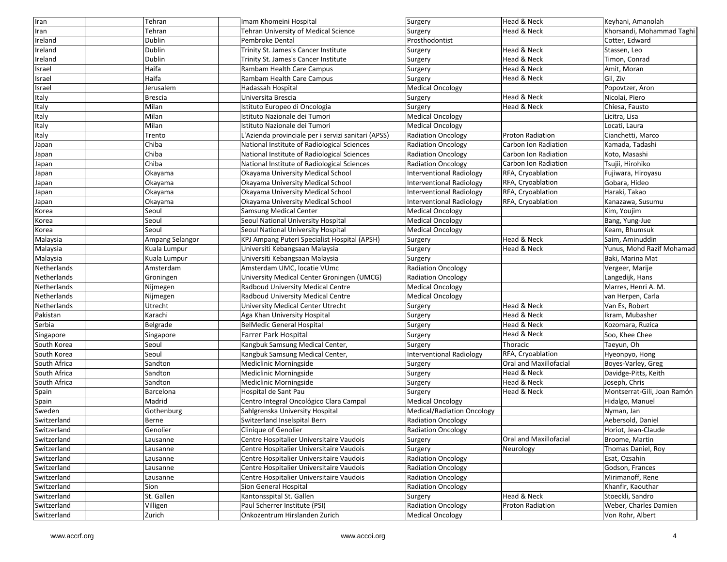| Iran         | Tehran          | Imam Khomeini Hospital                              | Surgery                           | Head & Neck             | Keyhani, Amanolah           |
|--------------|-----------------|-----------------------------------------------------|-----------------------------------|-------------------------|-----------------------------|
| Iran         | Tehran          | <b>Tehran University of Medical Science</b>         | Surgery                           | Head & Neck             | Khorsandi, Mohammad Taghi   |
| Ireland      | Dublin          | Pembroke Dental                                     | Prosthodontist                    |                         | Cotter, Edward              |
| Ireland      | Dublin          | Trinity St. James's Cancer Institute                | Surgery                           | Head & Neck             | Stassen, Leo                |
| Ireland      | Dublin          | Trinity St. James's Cancer Institute                | Surgery                           | Head & Neck             | Timon, Conrad               |
| Israel       | Haifa           | Rambam Health Care Campus                           | Surgery                           | Head & Neck             | Amit, Moran                 |
| Israel       | Haifa           | Rambam Health Care Campus                           | Surgery                           | Head & Neck             | Gil, Ziv                    |
| Israel       | Jerusalem       | Hadassah Hospital                                   | <b>Medical Oncology</b>           |                         | Popovtzer, Aron             |
| Italy        | <b>Brescia</b>  | Universita Brescia                                  | Surgery                           | Head & Neck             | Nicolai, Piero              |
| Italy        | Milan           | Istituto Europeo di Oncologia                       | Surgery                           | Head & Neck             | Chiesa, Fausto              |
| Italy        | Milan           | Istituto Nazionale dei Tumori                       | <b>Medical Oncology</b>           |                         | Licitra, Lisa               |
| Italy        | Milan           | Istituto Nazionale dei Tumori                       | <b>Medical Oncology</b>           |                         | Locati, Laura               |
| Italy        | Trento          | L'Azienda provinciale per i servizi sanitari (APSS) | <b>Radiation Oncology</b>         | <b>Proton Radiation</b> | Cianchetti, Marco           |
| Japan        | Chiba           | National Institute of Radiological Sciences         | <b>Radiation Oncology</b>         | Carbon Ion Radiation    | Kamada, Tadashi             |
| Japan        | Chiba           | National Institute of Radiological Sciences         | Radiation Oncology                | Carbon Ion Radiation    | Koto, Masashi               |
| Japan        | Chiba           | National Institute of Radiological Sciences         | <b>Radiation Oncology</b>         | Carbon Ion Radiation    | Tsujii, Hirohiko            |
| Japan        | Okayama         | Okayama University Medical School                   | <b>Interventional Radiology</b>   | RFA, Cryoablation       | Fujiwara, Hiroyasu          |
| Japan        | Okayama         | Okayama University Medical School                   | Interventional Radiology          | RFA, Cryoablation       | Gobara, Hideo               |
| Japan        | Okayama         | Okayama University Medical School                   | <b>Interventional Radiology</b>   | RFA, Cryoablation       | Haraki, Takao               |
| Japan        | Okayama         | Okayama University Medical School                   | Interventional Radiology          | RFA, Cryoablation       | Kanazawa, Susumu            |
| Korea        | Seoul           | <b>Samsung Medical Center</b>                       | <b>Medical Oncology</b>           |                         | Kim, Youjim                 |
| Korea        | Seoul           | Seoul National University Hospital                  | <b>Medical Oncology</b>           |                         | Bang, Yung-Jue              |
| Korea        | Seoul           | Seoul National University Hospital                  | <b>Medical Oncology</b>           |                         | Keam, Bhumsuk               |
| Malaysia     | Ampang Selangor | <b>KPJ Ampang Puteri Specialist Hospital (APSH)</b> | Surgery                           | Head & Neck             | Saim, Aminuddin             |
| Malaysia     | Kuala Lumpur    | Universiti Kebangsaan Malaysia                      | Surgery                           | Head & Neck             | Yunus, Mohd Razif Mohamad   |
| Malaysia     | Kuala Lumpur    | Universiti Kebangsaan Malaysia                      | Surgery                           |                         | Baki, Marina Mat            |
| Netherlands  | Amsterdam       | Amsterdam UMC, locatie VUmc                         | <b>Radiation Oncology</b>         |                         | Vergeer, Marije             |
| Netherlands  | Groningen       | University Medical Center Groningen (UMCG)          | <b>Radiation Oncology</b>         |                         | Langedijk, Hans             |
| Netherlands  | Nijmegen        | Radboud University Medical Centre                   | <b>Medical Oncology</b>           |                         | Marres, Henri A. M.         |
| Netherlands  | Nijmegen        | Radboud University Medical Centre                   | <b>Medical Oncology</b>           |                         | van Herpen, Carla           |
| Netherlands  | Utrecht         | University Medical Center Utrecht                   | Surgery                           | Head & Neck             | Van Es, Robert              |
| Pakistan     | Karachi         | Aga Khan University Hospital                        | Surgery                           | Head & Neck             | Ikram, Mubasher             |
| Serbia       | Belgrade        | <b>BelMedic General Hospital</b>                    | Surgery                           | Head & Neck             | Kozomara, Ruzica            |
| Singapore    | Singapore       | <b>Farrer Park Hospital</b>                         | Surgery                           | Head & Neck             | Soo, Khee Chee              |
| South Korea  | Seoul           | Kangbuk Samsung Medical Center,                     | Surgery                           | Thoracic                | Taeyun, Oh                  |
| South Korea  | Seoul           | Kangbuk Samsung Medical Center,                     | <b>Interventional Radiology</b>   | RFA, Cryoablation       | Hyeonpyo, Hong              |
| South Africa | Sandton         | Mediclinic Morningside                              | Surgery                           | Oral and Maxillofacial  | Boyes-Varley, Greg          |
| South Africa | Sandton         | Mediclinic Morningside                              | Surgery                           | Head & Neck             | Davidge-Pitts, Keith        |
| South Africa | Sandton         | Mediclinic Morningside                              | Surgery                           | Head & Neck             | Joseph, Chris               |
| Spain        | Barcelona       | Hospital de Sant Pau                                | Surgery                           | Head & Neck             | Montserrat-Gili, Joan Ramón |
| Spain        | Madrid          | Centro Integral Oncológico Clara Campal             | <b>Medical Oncology</b>           |                         | Hidalgo, Manuel             |
| Sweden       | Gothenburg      | Sahlgrenska University Hospital                     | <b>Medical/Radiation Oncology</b> |                         | Nyman, Jan                  |
| Switzerland  | Berne           | Switzerland Inselspital Bern                        | <b>Radiation Oncology</b>         |                         | Aebersold, Daniel           |
| Switzerland  | Genolier        | Clinique of Genolier                                | <b>Radiation Oncology</b>         |                         | Horiot, Jean-Claude         |
| Switzerland  | Lausanne        | Centre Hospitalier Universitaire Vaudois            | Surgery                           | Oral and Maxillofacial  | Broome, Martin              |
| Switzerland  | Lausanne        | Centre Hospitalier Universitaire Vaudois            | Surgery                           | Neurology               | Thomas Daniel, Roy          |
| Switzerland  | Lausanne        | Centre Hospitalier Universitaire Vaudois            | <b>Radiation Oncology</b>         |                         | Esat, Ozsahin               |
| Switzerland  | Lausanne        | Centre Hospitalier Universitaire Vaudois            | <b>Radiation Oncology</b>         |                         | Godson, Frances             |
| Switzerland  | Lausanne        | Centre Hospitalier Universitaire Vaudois            | <b>Radiation Oncology</b>         |                         | Mirimanoff, Rene            |
| Switzerland  | Sion            | Sion General Hospital                               | <b>Radiation Oncology</b>         |                         | Khanfir, Kaouthar           |
| Switzerland  | St. Gallen      | Kantonsspital St. Gallen                            | Surgery                           | Head & Neck             | Stoeckli, Sandro            |
| Switzerland  | Villigen        | Paul Scherrer Institute (PSI)                       | <b>Radiation Oncology</b>         | Proton Radiation        | Weber, Charles Damien       |
| Switzerland  | Zurich          | Onkozentrum Hirslanden Zurich                       | <b>Medical Oncology</b>           |                         | Von Rohr, Albert            |
|              |                 |                                                     |                                   |                         |                             |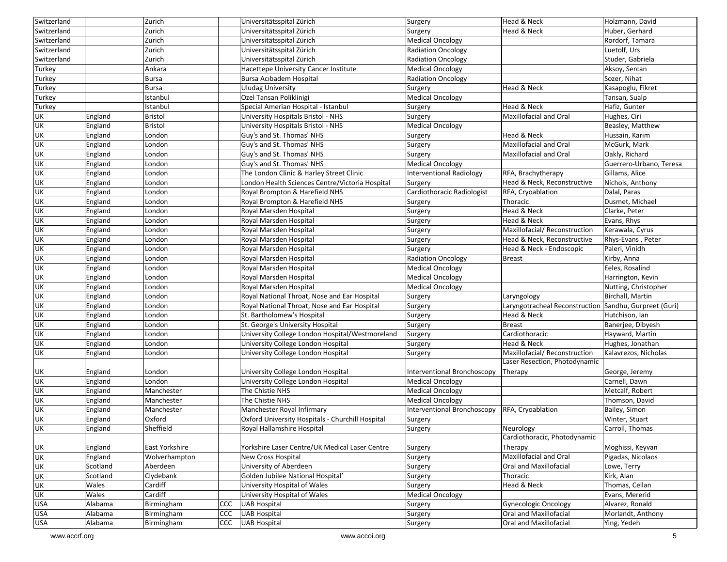| Switzerland              |          | Zurich         |     | Universitätsspital Zürich                        | Surgery                     | Head & Neck                                            | Holzmann, David         |
|--------------------------|----------|----------------|-----|--------------------------------------------------|-----------------------------|--------------------------------------------------------|-------------------------|
| Switzerland              |          | Zurich         |     | Universitätsspital Zürich                        | Surgery                     | Head & Neck                                            | Huber, Gerhard          |
| Switzerland              |          | Zurich         |     | Universitätsspital Zürich                        | <b>Medical Oncology</b>     |                                                        | Rordorf, Tamara         |
| Switzerland              |          | Zurich         |     | Universitätsspital Zürich                        | <b>Radiation Oncology</b>   |                                                        | Luetolf, Urs            |
| Switzerland              |          | Zurich         |     | Universitätsspital Zürich                        | <b>Radiation Oncology</b>   |                                                        | Studer, Gabriela        |
| Turkey                   |          | Ankara         |     | Hacettepe University Cancer Institute            | <b>Medical Oncology</b>     |                                                        | Aksoy, Sercan           |
| Turkey                   |          | <b>Bursa</b>   |     | Bursa Acıbadem Hospital                          | <b>Radiation Oncology</b>   |                                                        | Sozer, Nihat            |
| Turkey                   |          | <b>Bursa</b>   |     | <b>Uludag University</b>                         | Surgery                     | Head & Neck                                            | Kasapoglu, Fikret       |
| Turkey                   |          | Istanbul       |     | Ozel Tansan Poliklinigi                          | <b>Medical Oncology</b>     |                                                        | Tansan, Sualp           |
| Turkey                   |          | Istanbul       |     | Special Amerian Hospital - Istanbul              | Surgery                     | Head & Neck                                            | Hafiz, Gunter           |
| <b>UK</b>                | England  | <b>Bristol</b> |     | University Hospitals Bristol - NHS               | Surgery                     | Maxillofacial and Oral                                 | Hughes, Ciri            |
| <b>UK</b>                | England  | <b>Bristol</b> |     | University Hospitals Bristol - NHS               | <b>Medical Oncology</b>     |                                                        | Beasley, Matthew        |
| UK                       | England  | London         |     | Guy's and St. Thomas' NHS                        | Surgery                     | Head & Neck                                            | Hussain, Karim          |
| UK                       | England  | London         |     | Guy's and St. Thomas' NHS                        | Surgery                     | Maxillofacial and Oral                                 | McGurk, Mark            |
| <b>UK</b>                | England  | London         |     | Guy's and St. Thomas' NHS                        | Surgery                     | Maxillofacial and Oral                                 | Oakly, Richard          |
| UK                       | England  | London         |     | Guy's and St. Thomas' NHS                        | Medical Oncology            |                                                        | Guerrero-Urbano, Teresa |
| <b>UK</b>                | England  | London         |     | The London Clinic & Harley Street Clinic         | Interventional Radiology    | RFA, Brachytherapy                                     | Gillams, Alice          |
| UK                       | England  | London         |     | London Health Sciences Centre/Victoria Hospital  | Surgery                     | Head & Neck, Reconstructive                            | Nichols, Anthony        |
| <b>UK</b>                | England  | London         |     | Royal Brompton & Harefield NHS                   | Cardiothoracic Radiologist  | RFA, Cryoablation                                      | Dalal, Paras            |
| UK                       | England  | London         |     | Royal Brompton & Harefield NHS                   | Surgery                     | Thoracic                                               | Dusmet, Michael         |
| <b>UK</b>                | England  | London         |     | Royal Marsden Hospital                           | Surgery                     | Head & Neck                                            | Clarke, Peter           |
| <b>UK</b>                | England  | London         |     | Royal Marsden Hospital                           | Surgery                     | Head & Neck                                            | Evans, Rhys             |
| <b>UK</b>                | England  | London         |     | Royal Marsden Hospital                           | Surgery                     | Maxillofacial/Reconstruction                           | Kerawala, Cyrus         |
| UK                       | England  | London         |     | Royal Marsden Hospital                           | Surgery                     | Head & Neck, Reconstructive                            | Rhys-Evans, Peter       |
| UK                       | England  | London         |     | Royal Marsden Hospital                           | Surgery                     | Head & Neck - Endoscopic                               | Paleri, Vinidh          |
| UK                       | England  | London         |     | Royal Marsden Hospital                           | <b>Radiation Oncology</b>   | <b>Breast</b>                                          | Kirby, Anna             |
| UK                       | England  | London         |     | Royal Marsden Hospital                           | <b>Medical Oncology</b>     |                                                        | Eeles, Rosalind         |
| UK                       | England  | London         |     | Royal Marsden Hospital                           | <b>Medical Oncology</b>     |                                                        | Harrington, Kevin       |
| UK                       | England  | London         |     | Royal Marsden Hospital                           | <b>Medical Oncology</b>     |                                                        | Nutting, Christopher    |
| UK                       | England  | London         |     | Royal National Throat, Nose and Ear Hospital     | Surgery                     | Laryngology                                            | Birchall, Martin        |
| <b>UK</b>                | England  | London         |     | Royal National Throat, Nose and Ear Hospital     | Surgery                     | Laryngotracheal Reconstruction Sandhu, Gurpreet (Guri) |                         |
| UK                       | England  | London         |     | St. Bartholomew's Hospital                       | Surgery                     | Head & Neck                                            | Hutchison, Ian          |
| <b>UK</b>                | England  | London         |     | St. George's University Hospital                 | Surgery                     | <b>Breast</b>                                          | Banerjee, Dibyesh       |
| UK                       | England  | London         |     | University College London Hospital/Westmoreland  | Surgery                     | Cardiothoracic                                         | Hayward, Martin         |
| UK                       | England  | London         |     | University College London Hospital               | Surgery                     | Head & Neck                                            | Hughes, Jonathan        |
| <b>UK</b>                | England  | London         |     | University College London Hospital               | Surgery                     | Maxillofacial/ Reconstruction                          | Kalavrezos, Nicholas    |
|                          |          |                |     |                                                  |                             | Laser Resection, Photodynamic                          |                         |
| UK                       | England  | London         |     | University College London Hospital               | Interventional Bronchoscopy | Therapy                                                | George, Jeremy          |
| UK                       | England  | London         |     | University College London Hospital               | <b>Medical Oncology</b>     |                                                        | Carnell, Dawn           |
| <b>UK</b>                | England  | Manchester     |     | The Chistie NHS                                  | Medical Oncology            |                                                        | Metcalf, Robert         |
| UK                       | England  | Manchester     |     | The Chistie NHS                                  | <b>Medical Oncology</b>     |                                                        | Thomson, David          |
| UK                       | England  | Manchester     |     | Manchester Royal Infirmary                       | Interventional Bronchoscopy | RFA, Cryoablation                                      | Bailey, Simon           |
| UK                       | England  | Oxford         |     | Oxford University Hospitals - Churchill Hospital | Surgery                     |                                                        | Winter, Stuart          |
| <b>UK</b>                | England  | Sheffield      |     | Royal Hallamshire Hospital                       | Surgery                     | Neurology                                              | Carroll, Thomas         |
|                          |          |                |     |                                                  |                             | Cardiothoracic, Photodynamic                           |                         |
| UK                       | England  | East Yorkshire |     | Yorkshire Laser Centre/UK Medical Laser Centre   | Surgery                     | Therapy                                                | Moghissi, Keyvan        |
| UK                       | England  | Wolverhampton  |     | New Cross Hospital                               | Surgery                     | Maxillofacial and Oral                                 | Pigadas, Nicolaos       |
| <b>UK</b>                | Scotland | Aberdeen       |     | University of Aberdeen                           | Surgery                     | Oral and Maxillofacial                                 | Lowe, Terry             |
| <b>UK</b>                | Scotland | Clydebank      |     | Golden Jubilee National Hospital'                | Surgery                     | Thoracic                                               | Kirk, Alan              |
| <b>UK</b>                | Wales    | Cardiff        |     | University Hospital of Wales                     | Surgery                     | Head & Neck                                            | Thomas, Cellan          |
| <b>UK</b>                | Wales    | Cardiff        |     | University Hospital of Wales                     | <b>Medical Oncology</b>     |                                                        | Evans, Mererid          |
| <b>USA</b>               | Alabama  | Birmingham     | CCC | <b>UAB Hospital</b>                              | Surgery                     | Gynecologic Oncology                                   | Alvarez, Ronald         |
| <b>USA</b><br><b>USA</b> | Alabama  | Birmingham     | CCC | <b>UAB Hospital</b>                              | Surgery                     | Oral and Maxillofacial                                 | Morlandt, Anthony       |
|                          | Alabama  | Birmingham     | CCC | <b>UAB Hospital</b>                              | Surgery                     | Oral and Maxillofacial                                 | Ying, Yedeh             |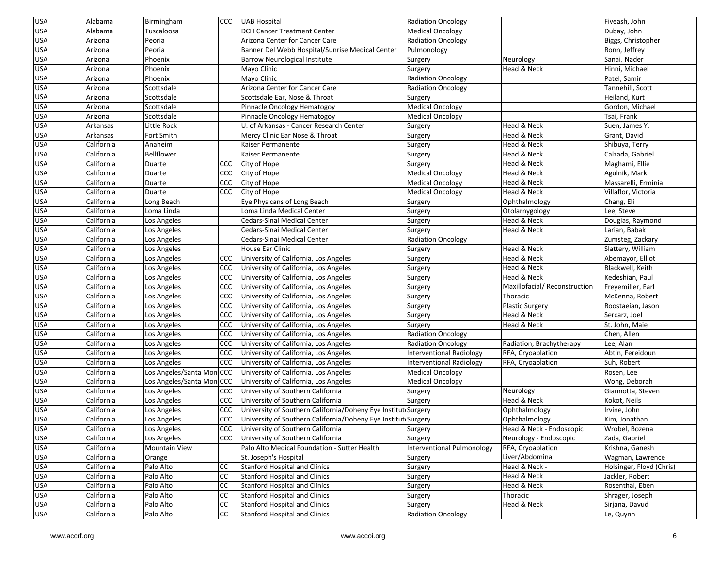| <b>USA</b> | Alabama                  | Birmingham                |                  | CCC UAB Hospital                                                      | <b>Radiation Oncology</b>  |                                      | Fiveash, John                       |
|------------|--------------------------|---------------------------|------------------|-----------------------------------------------------------------------|----------------------------|--------------------------------------|-------------------------------------|
| <b>USA</b> | Alabama                  | Tuscaloosa                |                  | <b>DCH Cancer Treatment Center</b>                                    | <b>Medical Oncology</b>    |                                      | Dubay, John                         |
| <b>USA</b> | Arizona                  | Peoria                    |                  | Arizona Center for Cancer Care                                        | <b>Radiation Oncology</b>  |                                      | Biggs, Christopher                  |
| <b>USA</b> | Arizona                  | Peoria                    |                  | Banner Del Webb Hospital/Sunrise Medical Center                       | Pulmonology                |                                      | Ronn, Jeffrey                       |
| <b>USA</b> | Arizona                  | Phoenix                   |                  | <b>Barrow Neurological Institute</b>                                  | Surgery                    | Neurology                            | Sanai, Nader                        |
| USA        | Arizona                  | Phoenix                   |                  | Mayo Clinic                                                           | Surgery                    | Head & Neck                          | Hinni, Michael                      |
| USA        | Arizona                  | Phoenix                   |                  | Mayo Clinic                                                           | <b>Radiation Oncology</b>  |                                      | Patel, Samir                        |
| <b>USA</b> | Arizona                  | Scottsdale                |                  | Arizona Center for Cancer Care                                        | <b>Radiation Oncology</b>  |                                      | Tannehill, Scott                    |
| USA        | Arizona                  | Scottsdale                |                  | Scottsdale Ear, Nose & Throat                                         | Surgery                    |                                      | Heiland, Kurt                       |
| <b>USA</b> | Arizona                  | Scottsdale                |                  | Pinnacle Oncology Hematogoy                                           | <b>Medical Oncology</b>    |                                      | Gordon, Michael                     |
| USA        | Arizona                  | Scottsdale                |                  | Pinnacle Oncology Hematogoy                                           | <b>Medical Oncology</b>    |                                      | Tsai, Frank                         |
| <b>USA</b> | Arkansas                 | Little Rock               |                  | U. of Arkansas - Cancer Research Center                               | Surgery                    | Head & Neck                          | Suen, James Y.                      |
| USA        | Arkansas                 | Fort Smith                |                  | Mercy Clinic Ear Nose & Throat                                        | Surgery                    | Head & Neck                          | Grant, David                        |
| USA        | California               | Anaheim                   |                  | Kaiser Permanente                                                     | Surgery                    | Head & Neck                          | Shibuya, Terry                      |
| USA        | California               | <b>Bellflower</b>         |                  | Kaiser Permanente                                                     | Surgery                    | Head & Neck                          | Calzada, Gabriel                    |
| USA        | California               | Duarte                    | CCC              | City of Hope                                                          | Surgery                    | Head & Neck                          | Maghami, Ellie                      |
| USA        | California               | Duarte                    | <b>CCC</b>       | City of Hope                                                          | <b>Medical Oncology</b>    | Head & Neck                          | Agulnik, Mark                       |
| <b>USA</b> | California               | Duarte                    | <b>CCC</b>       | City of Hope                                                          | <b>Medical Oncology</b>    | Head & Neck                          | Massarelli, Erminia                 |
| <b>USA</b> | California               | Duarte                    | CCC              | City of Hope                                                          | <b>Medical Oncology</b>    | Head & Neck                          | Villaflor, Victoria                 |
| USA        | California               | Long Beach                |                  | Eye Physicans of Long Beach                                           | Surgery                    | Ophthalmology                        | Chang, Eli                          |
| <b>USA</b> | California               | Loma Linda                |                  | Loma Linda Medical Center                                             | Surgery                    | Otolarnygology                       | Lee, Steve                          |
| USA        | California               | Los Angeles               |                  | Cedars-Sinai Medical Center                                           | Surgery                    | Head & Neck                          | Douglas, Raymond                    |
| USA        | California               | Los Angeles               |                  | Cedars-Sinai Medical Center                                           | Surgery                    | Head & Neck                          | Larian, Babak                       |
| USA        | California               | Los Angeles               |                  | Cedars-Sinai Medical Center                                           | <b>Radiation Oncology</b>  |                                      | Zumsteg, Zackary                    |
| USA        | California               | Los Angeles               |                  | House Ear Clinic                                                      | Surgery                    | Head & Neck                          | Slattery, William                   |
| <b>USA</b> | California               | Los Angeles               | CCC              | University of California, Los Angeles                                 | Surgery                    | Head & Neck                          | Abemayor, Elliot                    |
| USA        | California               | Los Angeles               | CCC              | University of California, Los Angeles                                 | Surgery                    | Head & Neck                          | Blackwell, Keith                    |
| USA        | California               | Los Angeles               | CCC              | University of California, Los Angeles                                 | Surgery                    | Head & Neck                          | Kedeshian, Paul                     |
| <b>USA</b> | California               | Los Angeles               | <b>CCC</b>       | University of California, Los Angeles                                 | Surgery                    | Maxillofacial/Reconstruction         | Freyemiller, Earl                   |
| USA        | California               | Los Angeles               | CCC              | University of California, Los Angeles                                 | Surgery                    | Thoracic                             | McKenna, Robert                     |
| USA        | California               | Los Angeles               | <b>CCC</b>       | University of California, Los Angeles                                 | Surgery                    | <b>Plastic Surgery</b>               | Roostaeian, Jason                   |
| USA        | California               | Los Angeles               | <b>CCC</b>       | University of California, Los Angeles                                 | Surgery                    | Head & Neck                          | Sercarz, Joel                       |
| USA        | California               | Los Angeles               | <b>CCC</b>       | University of California, Los Angeles                                 | Surgery                    | Head & Neck                          | St. John, Maie                      |
| USA        | California               | Los Angeles               | CCC              | University of California, Los Angeles                                 | <b>Radiation Oncology</b>  |                                      | Chen, Allen                         |
| USA        | California               | Los Angeles               | <b>CCC</b>       | University of California, Los Angeles                                 | <b>Radiation Oncology</b>  | Radiation, Brachytherapy             | Lee, Alan                           |
| <b>USA</b> | California               | Los Angeles               | <b>CCC</b>       | University of California, Los Angeles                                 | Interventional Radiology   | RFA, Cryoablation                    | Abtin, Fereidoun                    |
| USA        | California               | Los Angeles               | CCC              | University of California, Los Angeles                                 | Interventional Radiology   | RFA, Cryoablation                    | Suh, Robert                         |
| USA        | California               | Los Angeles/Santa MoniCCC |                  | University of California, Los Angeles                                 | <b>Medical Oncology</b>    |                                      | Rosen, Lee                          |
| USA        | California               | Los Angeles/Santa MoniCCC |                  | University of California, Los Angeles                                 | <b>Medical Oncology</b>    |                                      | Wong, Deborah                       |
| USA        | California               | Los Angeles               | CCC              | University of Southern California                                     | Surgery                    | Neurology                            | Giannotta, Steven                   |
| USA        | California               | Los Angeles               | <b>CCC</b>       | University of Southern California                                     | Surgery                    | Head & Neck                          | Kokot, Neils                        |
| USA        | California               | Los Angeles               | <b>CCC</b>       | University of Southern California/Doheny Eye Institut Surgery         |                            | Ophthalmology                        | Irvine, John                        |
| USA        | California               | Los Angeles               | ccc <sub>1</sub> | University of Southern California/Doheny Eye Instituti Surgery        |                            | Ophthalmology                        | Kim, Jonathan                       |
| <b>USA</b> |                          |                           |                  | CCC University of Southern California                                 |                            | Head & Neck - Endoscopic             |                                     |
| <b>USA</b> | California<br>California | Los Angeles               | ccc <sub>1</sub> |                                                                       | Surgery                    |                                      | Wrobel, Bozena                      |
|            |                          | Los Angeles               |                  | University of Southern California                                     | Surgery                    | Neurology - Endoscopic               | Zada, Gabriel                       |
| <b>USA</b> | California               | Mountain View             |                  | Palo Alto Medical Foundation - Sutter Health<br>St. Joseph's Hospital | Interventional Pulmonology | RFA, Cryoablation<br>Liver/Abdominal | Krishna, Ganesh<br>Wagman, Lawrence |
| <b>USA</b> | California               | Orange                    |                  |                                                                       | Surgery                    | Head & Neck -                        |                                     |
| <b>USA</b> | California               | Palo Alto                 | CC               | Stanford Hospital and Clinics                                         | Surgery                    |                                      | Holsinger, Floyd (Chris)            |
| <b>USA</b> | California               | Palo Alto                 | <b>CC</b>        | <b>Stanford Hospital and Clinics</b>                                  | Surgery                    | Head & Neck                          | Jackler, Robert                     |
| <b>USA</b> | California               | Palo Alto                 | <b>CC</b>        | Stanford Hospital and Clinics                                         | Surgery                    | Head & Neck                          | Rosenthal, Eben                     |
| <b>USA</b> | California               | Palo Alto                 | CC               | Stanford Hospital and Clinics                                         | Surgery                    | Thoracic                             | Shrager, Joseph                     |
| <b>USA</b> | California               | Palo Alto                 | <b>CC</b>        | <b>Stanford Hospital and Clinics</b>                                  | Surgery                    | Head & Neck                          | Sirjana, Davud                      |
| <b>USA</b> | California               | Palo Alto                 | <b>CC</b>        | <b>Stanford Hospital and Clinics</b>                                  | Radiation Oncology         |                                      | Le, Quynh                           |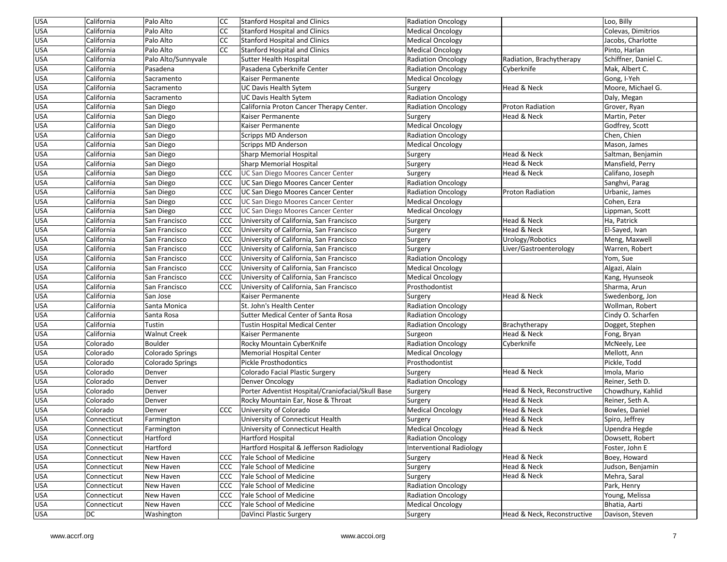| <b>USA</b> | California  | Palo Alto           | <b>CC</b>        | Stanford Hospital and Clinics                     | <b>Radiation Oncology</b> |                             | Loo, Billy           |
|------------|-------------|---------------------|------------------|---------------------------------------------------|---------------------------|-----------------------------|----------------------|
| <b>USA</b> | California  | Palo Alto           | CC               | Stanford Hospital and Clinics                     | <b>Medical Oncology</b>   |                             | Colevas, Dimitrios   |
| <b>USA</b> | California  | Palo Alto           | CC               | <b>Stanford Hospital and Clinics</b>              | <b>Medical Oncology</b>   |                             | Jacobs, Charlotte    |
| <b>USA</b> | California  | Palo Alto           | <b>CC</b>        | Stanford Hospital and Clinics                     | <b>Medical Oncology</b>   |                             | Pinto, Harlan        |
| USA        | California  | Palo Alto/Sunnyvale |                  | <b>Sutter Health Hospital</b>                     | <b>Radiation Oncology</b> | Radiation, Brachytherapy    | Schiffner, Daniel C. |
| USA        | California  | Pasadena            |                  | Pasadena Cyberknife Center                        | Radiation Oncology        | Cyberknife                  | Mak, Albert C.       |
| USA        | California  | Sacramento          |                  | Kaiser Permanente                                 | <b>Medical Oncology</b>   |                             | Gong, I-Yeh          |
| USA        | California  | Sacramento          |                  | UC Davis Health Sytem                             | Surgery                   | Head & Neck                 | Moore, Michael G.    |
| USA        | California  | Sacramento          |                  | UC Davis Health Sytem                             | <b>Radiation Oncology</b> |                             | Daly, Megan          |
| USA        | California  | San Diego           |                  | California Proton Cancer Therapy Center.          | Radiation Oncology        | Proton Radiation            | Grover, Ryan         |
| <b>USA</b> | California  | San Diego           |                  | Kaiser Permanente                                 | Surgery                   | Head & Neck                 | Martin, Peter        |
| <b>USA</b> | California  | San Diego           |                  | Kaiser Permanente                                 | <b>Medical Oncology</b>   |                             | Godfrey, Scott       |
| USA        | California  | San Diego           |                  | Scripps MD Anderson                               | Radiation Oncology        |                             | Chen, Chien          |
| USA        | California  | San Diego           |                  | Scripps MD Anderson                               | <b>Medical Oncology</b>   |                             | Mason, James         |
| USA        | California  | San Diego           |                  | <b>Sharp Memorial Hospital</b>                    | Surgery                   | Head & Neck                 | Saltman, Benjamin    |
| USA        | California  | San Diego           |                  | <b>Sharp Memorial Hospital</b>                    | Surgery                   | Head & Neck                 | Mansfield, Perry     |
| USA        | California  | San Diego           | CCC              | UC San Diego Moores Cancer Center                 | Surgery                   | Head & Neck                 | Califano, Joseph     |
| <b>USA</b> | California  | San Diego           | <b>CCC</b>       | UC San Diego Moores Cancer Center                 | <b>Radiation Oncology</b> |                             | Sanghvi, Parag       |
| <b>USA</b> | California  | San Diego           | <b>CCC</b>       | UC San Diego Moores Cancer Center                 | <b>Radiation Oncology</b> | <b>Proton Radiation</b>     | Urbanic, James       |
| USA        | California  | San Diego           | CCC              | UC San Diego Moores Cancer Center                 | <b>Medical Oncology</b>   |                             | Cohen, Ezra          |
| <b>USA</b> | California  | San Diego           | CCC              | UC San Diego Moores Cancer Center                 | <b>Medical Oncology</b>   |                             | ippman, Scott        |
| USA        | California  | San Francisco       | CCC              | University of California, San Francisco           | Surgery                   | Head & Neck                 | Ha, Patrick          |
| USA        | California  | San Francisco       | CCC              | University of California, San Francisco           | Surgery                   | Head & Neck                 | El-Sayed, Ivan       |
| USA        | California  | San Francisco       | <b>CCC</b>       | University of California, San Francisco           | Surgery                   | Urology/Robotics            | Meng, Maxwell        |
| <b>USA</b> | California  | San Francisco       | <b>CCC</b>       | University of California, San Francisco           | Surgery                   | Liver/Gastroenterology      | Warren, Robert       |
| <b>USA</b> | California  | San Francisco       | CCC              | University of California, San Francisco           | <b>Radiation Oncology</b> |                             | Yom, Sue             |
| USA        | California  | San Francisco       | CCC              | University of California, San Francisco           | <b>Medical Oncology</b>   |                             | Algazi, Alain        |
| USA        | California  | San Francisco       | <b>CCC</b>       | University of California, San Francisco           | <b>Medical Oncology</b>   |                             | Kang, Hyunseok       |
| <b>USA</b> | California  | San Francisco       | <b>CCC</b>       | University of California, San Francisco           | Prosthodontist            |                             | Sharma, Arun         |
| <b>USA</b> | California  | San Jose            |                  | Kaiser Permanente                                 | Surgery                   | Head & Neck                 | Swedenborg, Jon      |
| USA        | California  | Santa Monica        |                  | St. John's Health Center                          | <b>Radiation Oncology</b> |                             | Wollman, Robert      |
| <b>USA</b> | California  | Santa Rosa          |                  | Sutter Medical Center of Santa Rosa               | Radiation Oncology        |                             | Cindy O. Scharfen    |
| USA        | California  | Tustin              |                  | <b>Tustin Hospital Medical Center</b>             | <b>Radiation Oncology</b> | Brachytherapy               | Dogget, Stephen      |
| <b>USA</b> | California  | <b>Walnut Creek</b> |                  | Kaiser Permanente                                 | Surgeon                   | Head & Neck                 | Fong, Bryan          |
| USA        | Colorado    | <b>Boulder</b>      |                  | Rocky Mountain CyberKnife                         | <b>Radiation Oncology</b> | Cyberknife                  | McNeely, Lee         |
| <b>USA</b> | Colorado    | Colorado Springs    |                  | <b>Memorial Hospital Center</b>                   | <b>Medical Oncology</b>   |                             | Mellott, Ann         |
| USA        | Colorado    | Colorado Springs    |                  | <b>Pickle Prosthodontics</b>                      | Prosthodontist            |                             | Pickle, Todd         |
| USA        | Colorado    | Denver              |                  | Colorado Facial Plastic Surgery                   | Surgery                   | Head & Neck                 | Imola, Mario         |
| USA        | Colorado    | Denver              |                  | Denver Oncology                                   | Radiation Oncology        |                             | Reiner, Seth D.      |
| USA        | Colorado    | Denver              |                  | Porter Adventist Hospital/Craniofacial/Skull Base | Surgery                   | Head & Neck, Reconstructive | Chowdhury, Kahlid    |
| USA        | Colorado    | Denver              |                  | Rocky Mountain Ear, Nose & Throat                 | Surgery                   | Head & Neck                 | Reiner, Seth A.      |
| USA        | Colorado    | Denver              | <b>CCC</b>       | University of Colorado                            | <b>Medical Oncology</b>   | Head & Neck                 | Bowles, Daniel       |
| USA        | Connecticut | Farmington          |                  | University of Connecticut Health                  | Surgery                   | Head & Neck                 | Spiro, Jeffrey       |
| <b>USA</b> | Connecticut | Farmington          |                  | University of Connecticut Health                  | Medical Oncology          | Head & Neck                 | Upendra Hegde        |
| <b>USA</b> | Connecticut | Hartford            |                  | <b>Hartford Hospital</b>                          | <b>Radiation Oncology</b> |                             | Dowsett, Robert      |
| USA        | Connecticut | Hartford            |                  | Hartford Hospital & Jefferson Radiology           | Interventional Radiology  |                             | Foster, John E       |
| <b>USA</b> | Connecticut | New Haven           | <b>CCC</b>       | Yale School of Medicine                           | Surgery                   | Head & Neck                 | Boey, Howard         |
| <b>USA</b> | Connecticut | New Haven           | <b>CCC</b>       | Yale School of Medicine                           | Surgery                   | Head & Neck                 | Judson, Benjamin     |
| <b>USA</b> | Connecticut | New Haven           | ccc <sub>1</sub> | Yale School of Medicine                           | Surgery                   | Head & Neck                 | Mehra, Saral         |
| <b>USA</b> | Connecticut | New Haven           | <b>CCC</b>       | Yale School of Medicine                           | <b>Radiation Oncology</b> |                             | Park, Henry          |
| <b>USA</b> | Connecticut | New Haven           | CCC              | Yale School of Medicine                           | <b>Radiation Oncology</b> |                             | Young, Melissa       |
| <b>USA</b> | Connecticut | New Haven           | <b>CCC</b>       | Yale School of Medicine                           | <b>Medical Oncology</b>   |                             | Bhatia, Aarti        |
| <b>USA</b> | DC          | Washington          |                  | DaVinci Plastic Surgery                           | Surgery                   | Head & Neck, Reconstructive | Davison, Steven      |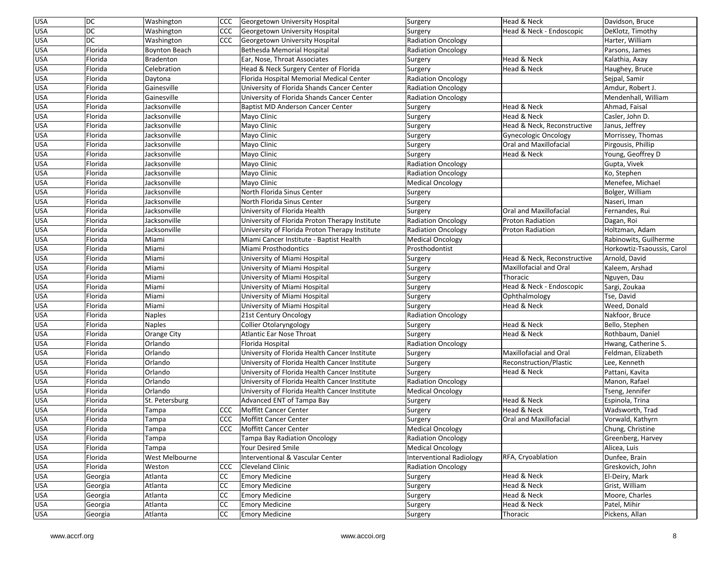| <b>USA</b> | DC        | Washington           | <b>CCC</b> | Georgetown University Hospital                 | Surgery                   | Head & Neck                   | Davidson, Bruce            |
|------------|-----------|----------------------|------------|------------------------------------------------|---------------------------|-------------------------------|----------------------------|
| <b>USA</b> | <b>DC</b> | Washington           | CCC        | Georgetown University Hospital                 | Surgery                   | Head & Neck - Endoscopic      | DeKlotz, Timothy           |
| USA        | <b>DC</b> | Washington           | <b>CCC</b> | Georgetown University Hospital                 | <b>Radiation Oncology</b> |                               | Harter, William            |
| <b>USA</b> | Florida   | <b>Boynton Beach</b> |            | Bethesda Memorial Hospital                     | <b>Radiation Oncology</b> |                               | Parsons, James             |
| USA        | Florida   | Bradenton            |            | Ear, Nose, Throat Associates                   | Surgery                   | Head & Neck                   | Kalathia, Axay             |
| USA        | Florida   | Celebration          |            | Head & Neck Surgery Center of Florida          | Surgery                   | Head & Neck                   | Haughey, Bruce             |
| USA        | Florida   | Daytona              |            | Florida Hospital Memorial Medical Center       | Radiation Oncology        |                               | Sejpal, Samir              |
| <b>USA</b> | Florida   | Gainesville          |            | University of Florida Shands Cancer Center     | Radiation Oncology        |                               | Amdur, Robert J.           |
| USA        | Florida   | Gainesville          |            | University of Florida Shands Cancer Center     | <b>Radiation Oncology</b> |                               | Mendenhall, William        |
| USA        | Florida   | Jacksonville         |            | Baptist MD Anderson Cancer Center              | Surgery                   | Head & Neck                   | Ahmad, Faisal              |
| USA        | Florida   | Jacksonville         |            | Mayo Clinic                                    | Surgery                   | Head & Neck                   | Casler, John D.            |
| <b>USA</b> | Florida   | Jacksonville         |            | Mayo Clinic                                    | Surgery                   | Head & Neck, Reconstructive   | Janus, Jeffrey             |
| USA        | Florida   | Jacksonville         |            | Mayo Clinic                                    | Surgery                   | <b>Gynecologic Oncology</b>   | Morrissey, Thomas          |
| USA        | Florida   | Jacksonville         |            | Mayo Clinic                                    | Surgery                   | Oral and Maxillofacial        | Pirgousis, Phillip         |
| <b>USA</b> | Florida   | Jacksonville         |            | Mayo Clinic                                    | Surgery                   | Head & Neck                   | Young, Geoffrey D          |
| USA        | Florida   | Jacksonville         |            | Mayo Clinic                                    | <b>Radiation Oncology</b> |                               | Gupta, Vivek               |
| USA        | Florida   | Jacksonville         |            | Mayo Clinic                                    | Radiation Oncology        |                               | Ko, Stephen                |
| USA        | Florida   | Jacksonville         |            | Mayo Clinic                                    | <b>Medical Oncology</b>   |                               | Menefee, Michael           |
| <b>USA</b> | Florida   | Jacksonville         |            | North Florida Sinus Center                     | Surgery                   |                               | Bolger, William            |
| USA        | Florida   | Jacksonville         |            | North Florida Sinus Center                     | Surgery                   |                               | Naseri, Iman               |
| USA        | Florida   | Jacksonville         |            | University of Florida Health                   | Surgery                   | <b>Oral and Maxillofacial</b> | Fernandes, Rui             |
| USA        | Florida   | Jacksonville         |            | University of Florida Proton Therapy Institute | <b>Radiation Oncology</b> | <b>Proton Radiation</b>       | Dagan, Roi                 |
| <b>USA</b> | Florida   | Jacksonville         |            | University of Florida Proton Therapy Institute | <b>Radiation Oncology</b> | <b>Proton Radiation</b>       | Holtzman, Adam             |
| USA        | Florida   | Miami                |            | Miami Cancer Institute - Baptist Health        | <b>Medical Oncology</b>   |                               | Rabinowits, Guilherme      |
| USA        | Florida   | Miami                |            | Miami Prosthodontics                           | Prosthodontist            |                               | Horkowtiz-Tsaoussis, Carol |
| USA        | Florida   | Miami                |            | University of Miami Hospital                   | Surgery                   | Head & Neck, Reconstructive   | Arnold, David              |
| USA        | Florida   | Miami                |            | University of Miami Hospital                   | Surgery                   | Maxillofacial and Oral        | Kaleem, Arshad             |
| USA        | Florida   | Miami                |            | University of Miami Hospital                   | Surgery                   | Thoracic                      | Nguyen, Dau                |
| <b>USA</b> | Florida   | Miami                |            | University of Miami Hospital                   | Surgery                   | Head & Neck - Endoscopic      | Sargi, Zoukaa              |
| USA        | Florida   | Miami                |            | University of Miami Hospital                   | Surgery                   | Ophthalmology                 | Tse, David                 |
| <b>USA</b> | Florida   | Miami                |            | University of Miami Hospital                   | Surgery                   | Head & Neck                   | Weed, Donald               |
| <b>USA</b> | Florida   | <b>Naples</b>        |            | 21st Century Oncology                          | <b>Radiation Oncology</b> |                               | Nakfoor, Bruce             |
| <b>USA</b> | Florida   | <b>Naples</b>        |            | <b>Collier Otolaryngology</b>                  | Surgery                   | Head & Neck                   | Bello, Stephen             |
| USA        | Florida   | Orange City          |            | <b>Atlantic Ear Nose Throat</b>                | Surgery                   | Head & Neck                   | Rothbaum, Daniel           |
| USA        | Florida   | Orlando              |            | Florida Hospital                               | <b>Radiation Oncology</b> |                               | Hwang, Catherine S.        |
| USA        | Florida   | Orlando              |            | University of Florida Health Cancer Institute  | Surgery                   | Maxillofacial and Oral        | Feldman, Elizabeth         |
| USA        | Florida   | Orlando              |            | University of Florida Health Cancer Institute  | Surgery                   | <b>Reconstruction/Plastic</b> | Lee, Kenneth               |
| <b>USA</b> | Florida   | Orlando              |            | University of Florida Health Cancer Institute  | Surgery                   | Head & Neck                   | Pattani, Kavita            |
| USA        | Florida   | Orlando              |            | University of Florida Health Cancer Institute  | Radiation Oncology        |                               | Manon, Rafael              |
| <b>USA</b> | Florida   | Orlando              |            | University of Florida Health Cancer Institute  | <b>Medical Oncology</b>   |                               | Tseng, Jennifer            |
| USA        | Florida   | St. Petersburg       |            | Advanced ENT of Tampa Bay                      | Surgery                   | Head & Neck                   | Espinola, Trina            |
| USA        | Florida   | Tampa                | <b>CCC</b> | <b>Moffitt Cancer Center</b>                   | Surgery                   | Head & Neck                   | Wadsworth, Trad            |
| USA        | Florida   | Tampa                | CCC        | Moffitt Cancer Center                          | Surgery                   | Oral and Maxillofacial        | Vorwald, Kathyrn           |
| <b>USA</b> | Florida   | Tampa                | CCC        | Moffitt Cancer Center                          | <b>Medical Oncology</b>   |                               | Chung, Christine           |
| <b>USA</b> | Florida   | Tampa                |            | <b>Tampa Bay Radiation Oncology</b>            | Radiation Oncology        |                               | Greenberg, Harvey          |
| <b>USA</b> | Florida   | Tampa                |            | Your Desired Smile                             | <b>Medical Oncology</b>   |                               | Alicea, Luis               |
| <b>USA</b> | Florida   | West Melbourne       |            | Interventional & Vascular Center               | Interventional Radiology  | RFA, Cryoablation             | Dunfee, Brain              |
| <b>USA</b> | Florida   | Weston               | CCC        | <b>Cleveland Clinic</b>                        | <b>Radiation Oncology</b> |                               | Greskovich, John           |
| <b>USA</b> | Georgia   | Atlanta              | <b>CC</b>  | <b>Emory Medicine</b>                          | Surgery                   | Head & Neck                   | El-Deiry, Mark             |
| <b>USA</b> | Georgia   | Atlanta              | <b>CC</b>  | <b>Emory Medicine</b>                          | Surgery                   | Head & Neck                   | Grist, William             |
| <b>USA</b> | Georgia   | Atlanta              | <b>CC</b>  | <b>Emory Medicine</b>                          | Surgery                   | Head & Neck                   | Moore, Charles             |
| <b>USA</b> | Georgia   | Atlanta              | <b>CC</b>  | <b>Emory Medicine</b>                          | Surgery                   | Head & Neck                   | Patel, Mihir               |
| <b>USA</b> | Georgia   | Atlanta              | <b>CC</b>  | <b>Emory Medicine</b>                          | Surgery                   | Thoracic                      | Pickens, Allan             |
|            |           |                      |            |                                                |                           |                               |                            |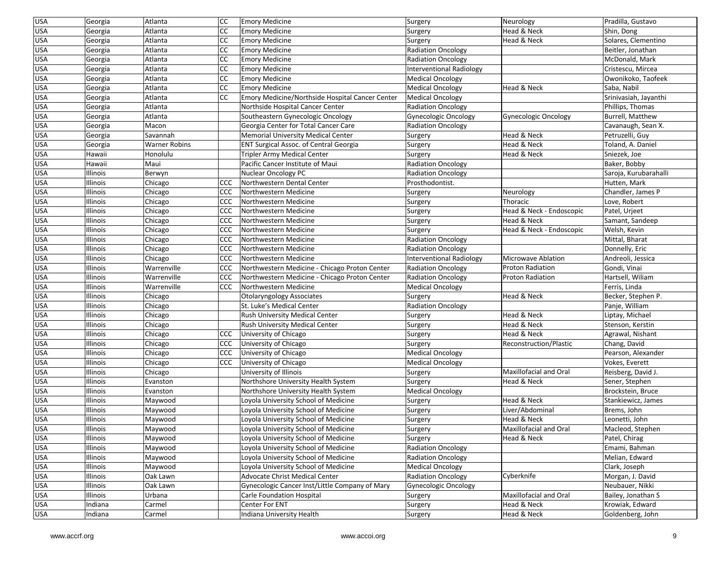| <b>USA</b> | Georgia  | Atlanta       | <b>CC</b>     | <b>Emory Medicine</b>                           | Surgery                   | Neurology                | Pradilla, Gustavo     |
|------------|----------|---------------|---------------|-------------------------------------------------|---------------------------|--------------------------|-----------------------|
| <b>USA</b> | Georgia  | Atlanta       | <b>CC</b>     | <b>Emory Medicine</b>                           | Surgery                   | Head & Neck              | Shin, Dong            |
| USA        | Georgia  | Atlanta       | <b>CC</b>     | <b>Emory Medicine</b>                           | Surgery                   | Head & Neck              | Solares, Clementino   |
| <b>USA</b> | Georgia  | Atlanta       | <b>CC</b>     | <b>Emory Medicine</b>                           | <b>Radiation Oncology</b> |                          | Beitler, Jonathan     |
| USA        | Georgia  | Atlanta       | <b>CC</b>     | <b>Emory Medicine</b>                           | <b>Radiation Oncology</b> |                          | McDonald, Mark        |
| USA        | Georgia  | Atlanta       | <b>CC</b>     | <b>Emory Medicine</b>                           | Interventional Radiology  |                          | Cristescu, Mircea     |
| USA        | Georgia  | Atlanta       | <sub>CC</sub> | <b>Emory Medicine</b>                           | <b>Medical Oncology</b>   |                          | Owonikoko, Taofeek    |
| USA        | Georgia  | Atlanta       | <b>CC</b>     | <b>Emory Medicine</b>                           | <b>Medical Oncology</b>   | Head & Neck              | Saba, Nabil           |
| <b>USA</b> | Georgia  | Atlanta       | <b>CC</b>     | Emory Medicine/Northside Hospital Cancer Center | <b>Medical Oncology</b>   |                          | Srinivasiah, Jayanthi |
| USA        | Georgia  | Atlanta       |               | Northside Hospital Cancer Center                | <b>Radiation Oncology</b> |                          | Phillips, Thomas      |
| <b>USA</b> | Georgia  | Atlanta       |               | Southeastern Gynecologic Oncology               | Gynecologic Oncology      | Gynecologic Oncology     | Burrell, Matthew      |
| USA        | Georgia  | Macon         |               | Georgia Center for Total Cancer Care            | <b>Radiation Oncology</b> |                          | Cavanaugh, Sean X.    |
| <b>USA</b> | Georgia  | Savannah      |               | Memorial University Medical Center              | Surgery                   | Head & Neck              | Petruzelli, Guy       |
| <b>USA</b> | Georgia  | Warner Robins |               | <b>ENT Surgical Assoc. of Central Georgia</b>   | Surgery                   | Head & Neck              | Toland, A. Daniel     |
| USA        | Hawaii   | Honolulu      |               | Tripler Army Medical Center                     | Surgery                   | Head & Neck              | Sniezek, Joe          |
| USA        | Hawaii   | Maui          |               | Pacific Cancer Institute of Maui                | <b>Radiation Oncology</b> |                          | Baker, Bobby          |
| USA        | Illinois | Berwyn        |               | <b>Nuclear Oncology PC</b>                      | <b>Radiation Oncology</b> |                          | Saroja, Kurubarahalli |
| USA        | Illinois | Chicago       | CCC           | Northwestern Dental Center                      | Prosthodontist.           |                          | Hutten, Mark          |
| USA        | Illinois | Chicago       | <b>CCC</b>    | Northwestern Medicine                           | Surgery                   | Neurology                | Chandler, James P     |
| USA        | Illinois | Chicago       | ccc           | Northwestern Medicine                           | Surgery                   | Thoracic                 | Love, Robert          |
| USA        | Illinois | Chicago       | ccc           | Northwestern Medicine                           | Surgery                   | Head & Neck - Endoscopic | Patel, Urjeet         |
| USA        | Illinois | Chicago       | <b>CCC</b>    | Northwestern Medicine                           | Surgery                   | Head & Neck              | Samant, Sandeep       |
| USA        | Illinois | Chicago       | CCC           | Northwestern Medicine                           | Surgery                   | Head & Neck - Endoscopic | Welsh, Kevin          |
| USA        | Illinois | Chicago       | CCC           | Northwestern Medicine                           | <b>Radiation Oncology</b> |                          | Mittal, Bharat        |
| <b>USA</b> | Illinois | Chicago       | CCC           | Northwestern Medicine                           | Radiation Oncology        |                          | Donnelly, Eric        |
| USA        | Illinois | Chicago       | <b>CCC</b>    | Northwestern Medicine                           | Interventional Radiology  | Microwave Ablation       | Andreoli, Jessica     |
| <b>USA</b> | Illinois | Warrenville   | CCC           | Northwestern Medicine - Chicago Proton Center   | <b>Radiation Oncology</b> | <b>Proton Radiation</b>  | Gondi, Vinai          |
| USA        | Illinois | Warrenville   | CCC           | Northwestern Medicine - Chicago Proton Center   | <b>Radiation Oncology</b> | <b>Proton Radiation</b>  | Hartsell, Wiliam      |
| <b>USA</b> | Illinois | Warrenville   | <b>CCC</b>    | Northwestern Medicine                           | <b>Medical Oncology</b>   |                          | Ferris, Linda         |
| USA        | Illinois | Chicago       |               | Otolaryngology Associates                       | Surgery                   | Head & Neck              | Becker, Stephen P.    |
| USA        | Illinois | Chicago       |               | St. Luke's Medical Center                       | <b>Radiation Oncology</b> |                          | Panje, William        |
| USA        | Illinois | Chicago       |               | Rush University Medical Center                  | Surgery                   | Head & Neck              | Liptay, Michael       |
| USA        | Illinois | Chicago       |               | <b>Rush University Medical Center</b>           | Surgery                   | Head & Neck              | Stenson, Kerstin      |
| USA        | Illinois | Chicago       | CCC           | University of Chicago                           | Surgery                   | Head & Neck              | Agrawal, Nishant      |
| USA        | Illinois | Chicago       | CCC           | University of Chicago                           | Surgery                   | Reconstruction/Plastic   | Chang, David          |
| <b>USA</b> | Illinois | Chicago       | ccc           | University of Chicago                           | <b>Medical Oncology</b>   |                          | Pearson, Alexander    |
| USA        | Illinois | Chicago       | CCC           | University of Chicago                           | <b>Medical Oncology</b>   |                          | Vokes, Everett        |
| USA        | Illinois | Chicago       |               | University of Illinois                          | Surgery                   | Maxillofacial and Oral   | Reisberg, David J.    |
| USA        | Illinois | Evanston      |               | Northshore University Health System             | Surgery                   | Head & Neck              | Sener, Stephen        |
| USA        | Illinois | Evanston      |               | Northshore University Health System             | <b>Medical Oncology</b>   |                          | Brockstein, Bruce     |
| <b>USA</b> | Illinois | Maywood       |               | Loyola University School of Medicine            | Surgery                   | Head & Neck              | Stankiewicz, James    |
| USA        | Illinois | Maywood       |               | Loyola University School of Medicine            | Surgery                   | Liver/Abdominal          | Brems, John           |
| <b>USA</b> | Illinois | Maywood       |               | Loyola University School of Medicine            | Surgery                   | Head & Neck              | Leonetti, John        |
| <b>USA</b> | Illinois | Maywood       |               | Loyola University School of Medicine            | Surgery                   | Maxillofacial and Oral   | Macleod, Stephen      |
| <b>USA</b> | Illinois | Maywood       |               | Loyola University School of Medicine            | Surgery                   | Head & Neck              | Patel, Chirag         |
| <b>USA</b> | Illinois | Maywood       |               | Loyola University School of Medicine            | <b>Radiation Oncology</b> |                          | Emami, Bahman         |
| <b>USA</b> | Illinois | Maywood       |               | Loyola University School of Medicine            | <b>Radiation Oncology</b> |                          | Melian, Edward        |
| <b>USA</b> | Illinois | Maywood       |               | Loyola University School of Medicine            | <b>Medical Oncology</b>   |                          | Clark, Joseph         |
| USA        | Illinois | Oak Lawn      |               | Advocate Christ Medical Center                  | <b>Radiation Oncology</b> | Cyberknife               | Morgan, J. David      |
| <b>USA</b> | Illinois | Oak Lawn      |               | Gynecologic Cancer Inst/Little Company of Mary  | Gynecologic Oncology      |                          | Neubauer, Nikki       |
| <b>USA</b> | Illinois | Urbana        |               | Carle Foundation Hospital                       |                           | Maxillofacial and Oral   | Bailey, Jonathan S    |
|            |          |               |               | Center For ENT                                  | Surgery                   | Head & Neck              | Krowiak, Edward       |
| <b>USA</b> | Indiana  | Carmel        |               |                                                 | Surgery                   |                          |                       |
| <b>USA</b> | Indiana  | Carmel        |               | Indiana University Health                       | Surgery                   | Head & Neck              | Goldenberg, John      |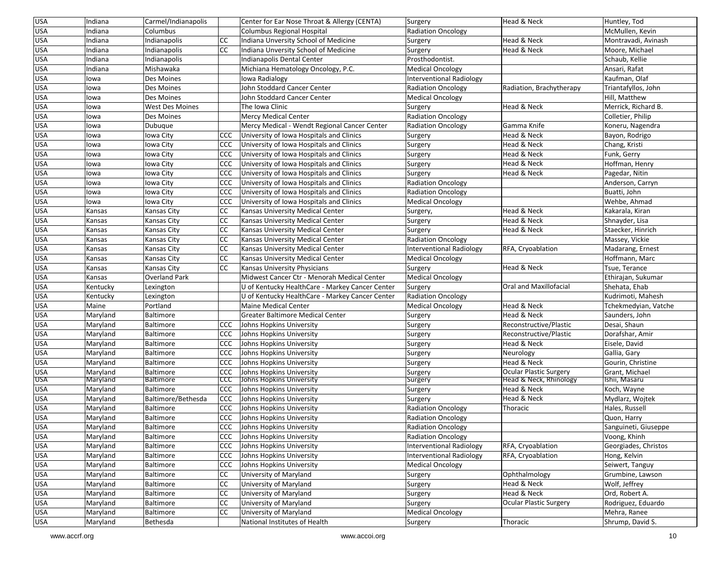| <b>USA</b> | Indiana  | Carmel/Indianapolis  |            | Center for Ear Nose Throat & Allergy (CENTA)    | Surgery                   | Head & Neck                       | Huntley, Tod         |
|------------|----------|----------------------|------------|-------------------------------------------------|---------------------------|-----------------------------------|----------------------|
| <b>USA</b> | Indiana  | Columbus             |            | <b>Columbus Regional Hospital</b>               | <b>Radiation Oncology</b> |                                   | McMullen, Kevin      |
| <b>USA</b> | Indiana  | Indianapolis         | <b>CC</b>  | Indiana Unversity School of Medicine            | Surgery                   | Head & Neck                       | Montravadi, Avinash  |
| <b>USA</b> | Indiana  | Indianapolis         | CC         | Indiana Unversity School of Medicine            | Surgery                   | Head & Neck                       | Moore, Michael       |
| <b>USA</b> | Indiana  | Indianapolis         |            | Indianapolis Dental Center                      | Prosthodontist.           |                                   | Schaub, Kellie       |
| <b>USA</b> | Indiana  | Mishawaka            |            | Michiana Hematology Oncology, P.C.              | <b>Medical Oncology</b>   |                                   | Ansari, Rafat        |
| <b>USA</b> | lowa     | Des Moines           |            | lowa Radialogy                                  | Interventional Radiology  |                                   | Kaufman, Olaf        |
| <b>USA</b> | lowa     | Des Moines           |            | John Stoddard Cancer Center                     | <b>Radiation Oncology</b> | Radiation, Brachytherapy          | Triantafyllos, John  |
| <b>USA</b> | lowa     | Des Moines           |            | John Stoddard Cancer Center                     | <b>Medical Oncology</b>   |                                   | Hill, Matthew        |
| <b>USA</b> | lowa     | West Des Moines      |            | The Iowa Clinic                                 | Surgery                   | Head & Neck                       | Merrick, Richard B.  |
| <b>USA</b> | lowa     | Des Moines           |            | <b>Mercy Medical Center</b>                     | <b>Radiation Oncology</b> |                                   | Colletier, Philip    |
| <b>USA</b> | lowa     | Dubuque              |            | Mercy Medical - Wendt Regional Cancer Center    | <b>Radiation Oncology</b> | Gamma Knife                       | Koneru, Nagendra     |
| <b>USA</b> | lowa     | Iowa City            | CCC        | University of Iowa Hospitals and Clinics        | Surgery                   | Head & Neck                       | Bayon, Rodrigo       |
| <b>USA</b> | lowa     | Iowa City            | CCC        | University of Iowa Hospitals and Clinics        | Surgery                   | Head & Neck                       | Chang, Kristi        |
| <b>USA</b> | lowa     | Iowa City            | CCC        | University of Iowa Hospitals and Clinics        | Surgery                   | Head & Neck                       | Funk, Gerry          |
| <b>USA</b> | lowa     | Iowa City            | CCC        | University of Iowa Hospitals and Clinics        | Surgery                   | Head & Neck                       | Hoffman, Henry       |
| <b>USA</b> | lowa     | Iowa City            | <b>CCC</b> | University of Iowa Hospitals and Clinics        | Surgery                   | Head & Neck                       | Pagedar, Nitin       |
| <b>USA</b> | lowa     | Iowa City            | CCC        | University of Iowa Hospitals and Clinics        | <b>Radiation Oncology</b> |                                   | Anderson, Carryn     |
| <b>USA</b> | lowa     | Iowa City            | <b>CCC</b> | University of Iowa Hospitals and Clinics        | <b>Radiation Oncology</b> |                                   | Buatti, John         |
| <b>USA</b> | lowa     | Iowa City            | CCC        | University of Iowa Hospitals and Clinics        | <b>Medical Oncology</b>   |                                   | Wehbe, Ahmad         |
| <b>USA</b> | Kansas   | Kansas City          | <b>CC</b>  | Kansas University Medical Center                | Surgery,                  | Head & Neck                       | Kakarala, Kiran      |
| <b>USA</b> | Kansas   | Kansas City          | <b>CC</b>  | Kansas University Medical Center                | Surgery                   | Head & Neck                       | Shnayder, Lisa       |
| <b>USA</b> | Kansas   | Kansas City          | CC         | Kansas University Medical Center                | Surgery                   | Head & Neck                       | Staecker, Hinrich    |
| <b>USA</b> | Kansas   | Kansas City          | CC         | Kansas University Medical Center                | <b>Radiation Oncology</b> |                                   | Massey, Vickie       |
| <b>USA</b> | Kansas   | Kansas City          | CC         | Kansas University Medical Center                | Interventional Radiology  | RFA, Cryoablation                 | Madarang, Ernest     |
| <b>USA</b> | Kansas   | Kansas City          | CC         | Kansas University Medical Center                | <b>Medical Oncology</b>   |                                   | Hoffmann, Marc       |
| <b>USA</b> | Kansas   | Kansas City          | <b>CC</b>  | Kansas University Physicians                    | Surgery                   | Head & Neck                       | Tsue, Terance        |
| <b>USA</b> | Kansas   | <b>Overland Park</b> |            | Midwest Cancer Ctr - Menorah Medical Center     | <b>Medical Oncology</b>   |                                   | Ethirajan, Sukumar   |
| <b>USA</b> | Kentucky | Lexington            |            | U of Kentucky HealthCare - Markey Cancer Center | Surgery                   | Oral and Maxillofacial            | Shehata, Ehab        |
| <b>USA</b> | Kentucky | Lexington            |            | U of Kentucky HealthCare - Markey Cancer Center | <b>Radiation Oncology</b> |                                   | Kudrimoti, Mahesh    |
| <b>USA</b> | Maine    | Portland             |            | <b>Maine Medical Center</b>                     | <b>Medical Oncology</b>   | Head & Neck                       | Tchekmedyian, Vatche |
| <b>USA</b> | Maryland | <b>Baltimore</b>     |            | <b>Greater Baltimore Medical Center</b>         | Surgery                   | Head & Neck                       | Saunders, John       |
| <b>USA</b> | Maryland | <b>Baltimore</b>     | CCC        | Johns Hopkins University                        | Surgery                   | Reconstructive/Plastic            | Desai, Shaun         |
| <b>USA</b> | Maryland | Baltimore            | <b>CCC</b> | Johns Hopkins University                        | Surgery                   | Reconstructive/Plastic            | Dorafshar, Amir      |
| <b>USA</b> | Maryland | Baltimore            | <b>CCC</b> | Johns Hopkins University                        | Surgery                   | Head & Neck                       | Eisele, David        |
| <b>USA</b> | Maryland | Baltimore            | <b>CCC</b> | Johns Hopkins University                        | Surgery                   | Neurology                         | Gallia, Gary         |
| <b>USA</b> | Maryland | <b>Baltimore</b>     | <b>CCC</b> | Johns Hopkins University                        | Surgery                   | Head & Neck                       | Gourin, Christine    |
| <b>USA</b> | Maryland | Baltimore            | <b>CCC</b> | Johns Hopkins University                        | Surgery                   | Ocular Plastic Surgery            | Grant, Michael       |
| <b>USA</b> | Maryland | <b>Baltimore</b>     | <b>CCC</b> | Johns Hopkins University                        | Surgery                   | <b>Head &amp; Neck, Rhinology</b> | Ishii, Masaru        |
| <b>USA</b> | Maryland | <b>Baltimore</b>     | <b>CCC</b> | Johns Hopkins University                        | Surgery                   | Head & Neck                       | Koch, Wayne          |
| <b>USA</b> | Maryland | Baltimore/Bethesda   | <b>CCC</b> | Johns Hopkins University                        | Surgery                   | Head & Neck                       | Mydlarz, Wojtek      |
| <b>USA</b> | Maryland | Baltimore            | CCC        | Johns Hopkins University                        | <b>Radiation Oncology</b> | Thoracic                          | Hales, Russell       |
| USA        | Maryland | Baltimore            | CCC        | Johns Hopkins University                        | <b>Radiation Oncology</b> |                                   | Quon, Harry          |
| <b>USA</b> | Maryland | Baltimore            | <b>CCC</b> | Johns Hopkins University                        | <b>Radiation Oncology</b> |                                   | Sanguineti, Giuseppe |
| <b>USA</b> | Maryland | Baltimore            | CCC        | Johns Hopkins University                        | <b>Radiation Oncology</b> |                                   | Voong, Khinh         |
| USA        | Maryland | Baltimore            | <b>CCC</b> | Johns Hopkins University                        | Interventional Radiology  | RFA, Cryoablation                 | Georgiades, Christos |
| <b>USA</b> | Maryland | Baltimore            | <b>CCC</b> | Johns Hopkins University                        | Interventional Radiology  | RFA, Cryoablation                 | Hong, Kelvin         |
| <b>USA</b> | Maryland | Baltimore            | <b>CCC</b> | Johns Hopkins University                        | <b>Medical Oncology</b>   |                                   | Seiwert, Tanguy      |
| <b>USA</b> | Maryland | Baltimore            | <b>CC</b>  | University of Maryland                          | Surgery                   | Ophthalmology                     | Grumbine, Lawson     |
| <b>USA</b> | Maryland | Baltimore            | <b>CC</b>  | University of Maryland                          | Surgery                   | Head & Neck                       | Wolf, Jeffrey        |
| <b>USA</b> | Maryland | Baltimore            | CC         | University of Maryland                          | Surgery                   | Head & Neck                       | Ord, Robert A.       |
| <b>USA</b> | Maryland | Baltimore            | <b>CC</b>  | University of Maryland                          | Surgery                   | Ocular Plastic Surgery            | Rodriguez, Eduardo   |
| <b>USA</b> | Maryland | Baltimore            | <b>CC</b>  | University of Maryland                          | <b>Medical Oncology</b>   |                                   | Mehra, Ranee         |
| <b>USA</b> | Maryland | Bethesda             |            | National Institutes of Health                   | Surgery                   | Thoracic                          | Shrump, David S.     |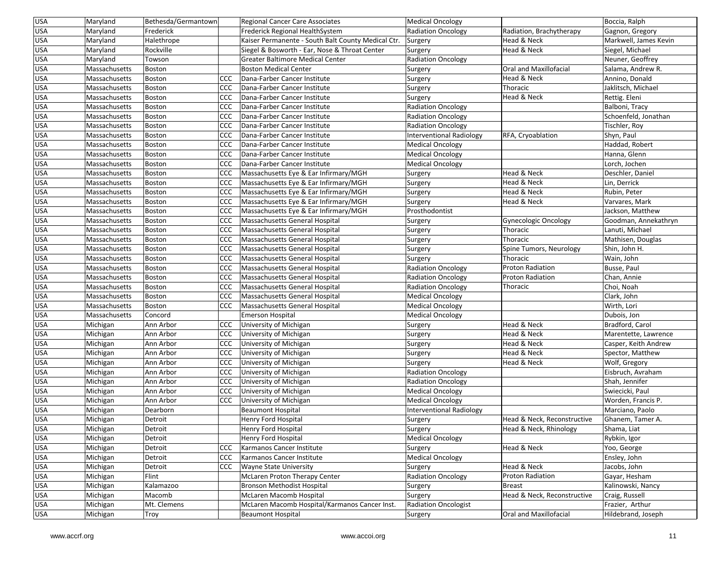| USA        | Maryland      | Bethesda/Germantown |            | <b>Regional Cancer Care Associates</b>             | <b>Medical Oncology</b>   |                             | Boccia, Ralph         |
|------------|---------------|---------------------|------------|----------------------------------------------------|---------------------------|-----------------------------|-----------------------|
| <b>USA</b> | Maryland      | Frederick           |            | Frederick Regional HealthSystem                    | <b>Radiation Oncology</b> | Radiation, Brachytherapy    | Gagnon, Gregory       |
| <b>USA</b> | Maryland      | Halethrope          |            | Kaiser Permanente - South Balt County Medical Ctr. | Surgery                   | Head & Neck                 | Markwell, James Kevin |
| <b>USA</b> | Maryland      | Rockville           |            | Siegel & Bosworth - Ear, Nose & Throat Center      | Surgery                   | Head & Neck                 | Siegel, Michael       |
| USA        | Maryland      | Towson              |            | Greater Baltimore Medical Center                   | <b>Radiation Oncology</b> |                             | Neuner, Geoffrey      |
| <b>USA</b> | Massachusetts | Boston              |            | <b>Boston Medical Center</b>                       | Surgery                   | Oral and Maxillofacial      | Salama, Andrew R.     |
| <b>USA</b> | Massachusetts | Boston              | <b>CCC</b> | Dana-Farber Cancer Institute                       | Surgery                   | Head & Neck                 | Annino, Donald        |
| USA        | Massachusetts | <b>Boston</b>       | CCC        | Dana-Farber Cancer Institute                       | Surgery                   | Thoracic                    | Jaklitsch, Michael    |
| <b>USA</b> | Massachusetts | <b>Boston</b>       | <b>CCC</b> | Dana-Farber Cancer Institute                       | Surgery                   | Head & Neck                 | Rettig. Eleni         |
| <b>USA</b> | Massachusetts | Boston              | CCC        | Dana-Farber Cancer Institute                       | <b>Radiation Oncology</b> |                             | Balboni, Tracy        |
| USA        | Massachusetts | Boston              | CCC        | Dana-Farber Cancer Institute                       | <b>Radiation Oncology</b> |                             | Schoenfeld, Jonathan  |
| USA        | Massachusetts | <b>Boston</b>       | CCC        | Dana-Farber Cancer Institute                       | <b>Radiation Oncology</b> |                             | Tischler, Roy         |
| <b>USA</b> | Massachusetts | Boston              | <b>CCC</b> | Dana-Farber Cancer Institute                       | Interventional Radiology  | RFA, Cryoablation           | Shyn, Paul            |
| <b>USA</b> | Massachusetts | Boston              | CCC        | Dana-Farber Cancer Institute                       | <b>Medical Oncology</b>   |                             | Haddad, Robert        |
| USA        | Massachusetts | <b>Boston</b>       | CCC        | Dana-Farber Cancer Institute                       | <b>Medical Oncology</b>   |                             | Hanna, Glenn          |
| <b>USA</b> | Massachusetts | <b>Boston</b>       | CCC        | Dana-Farber Cancer Institute                       | <b>Medical Oncology</b>   |                             | Lorch, Jochen         |
| USA        | Massachusetts | Boston              | CCC        | Massachusetts Eye & Ear Infirmary/MGH              | Surgery                   | Head & Neck                 | Deschler, Daniel      |
| <b>USA</b> | Massachusetts | Boston              | <b>CCC</b> | Massachusetts Eye & Ear Infirmary/MGH              | Surgery                   | Head & Neck                 | Lin, Derrick          |
| USA        | Massachusetts | Boston              | CCC        | Massachusetts Eye & Ear Infirmary/MGH              | Surgery                   | Head & Neck                 | Rubin, Peter          |
| <b>USA</b> | Massachusetts | Boston              | CCC        | Massachusetts Eye & Ear Infirmary/MGH              | Surgery                   | Head & Neck                 | Varvares, Mark        |
| <b>USA</b> | Massachusetts | Boston              | CCC        | Massachusetts Eye & Ear Infirmary/MGH              | Prosthodontist            |                             | Jackson, Matthew      |
| <b>USA</b> | Massachusetts | <b>Boston</b>       | CCC        | Massachusetts General Hospital                     | Surgery                   | Gynecologic Oncology        | Goodman, Annekathryn  |
| USA        | Massachusetts | <b>Boston</b>       | CCC        | Massachusetts General Hospital                     | Surgery                   | Thoracic                    | Lanuti, Michael       |
| <b>USA</b> | Massachusetts | Boston              | CCC        | Massachusetts General Hospital                     | Surgery                   | Thoracic                    | Mathisen, Douglas     |
| USA        | Massachusetts | Boston              | CCC        | Massachusetts General Hospital                     | Surgery                   | Spine Tumors, Neurology     | Shin, John H.         |
| USA        | Massachusetts | <b>Boston</b>       | CCC        | Massachusetts General Hospital                     | Surgery                   | Thoracic                    | Wain, John            |
| <b>USA</b> | Massachusetts | Boston              | CCC        | Massachusetts General Hospital                     | <b>Radiation Oncology</b> | Proton Radiation            | Busse, Paul           |
| <b>USA</b> | Massachusetts | Boston              | CCC        | Massachusetts General Hospital                     | <b>Radiation Oncology</b> | <b>Proton Radiation</b>     | Chan, Annie           |
| USA        | Massachusetts | Boston              | CCC        | Massachusetts General Hospital                     | <b>Radiation Oncology</b> | Thoracic                    | Choi, Noah            |
| USA        | Massachusetts | <b>Boston</b>       | <b>CCC</b> | Massachusetts General Hospital                     | <b>Medical Oncology</b>   |                             | Clark, John           |
| <b>USA</b> | Massachusetts | Boston              | CCC        | Massachusetts General Hospital                     | <b>Medical Oncology</b>   |                             | Wirth, Lori           |
| USA        | Massachusetts | Concord             |            | <b>Emerson Hospital</b>                            | <b>Medical Oncology</b>   |                             | Dubois, Jon           |
| USA        | Michigan      | Ann Arbor           | CCC        | University of Michigan                             | Surgery                   | Head & Neck                 | Bradford, Carol       |
| <b>USA</b> | Michigan      | Ann Arbor           | CCC        | University of Michigan                             | Surgery                   | Head & Neck                 | Marentette, Lawrence  |
| <b>USA</b> | Michigan      | Ann Arbor           | CCC        | University of Michigan                             | Surgery                   | Head & Neck                 | Casper, Keith Andrew  |
| USA        | Michigan      | Ann Arbor           | CCC        | University of Michigan                             | Surgery                   | Head & Neck                 | Spector, Matthew      |
| USA        | Michigan      | Ann Arbor           | CCC        | University of Michigan                             | Surgery                   | Head & Neck                 | Wolf, Gregory         |
| USA        | Michigan      | Ann Arbor           | CCC        | University of Michigan                             | <b>Radiation Oncology</b> |                             | Eisbruch, Avraham     |
| <b>USA</b> | Michigan      | Ann Arbor           | CCC        | University of Michigan                             | <b>Radiation Oncology</b> |                             | Shah, Jennifer        |
| <b>USA</b> | Michigan      | Ann Arbor           | CCC        | University of Michigan                             | <b>Medical Oncology</b>   |                             | Swiecicki, Paul       |
| <b>USA</b> | Michigan      | Ann Arbor           | <b>CCC</b> | University of Michigan                             | <b>Medical Oncology</b>   |                             | Worden, Francis P.    |
| <b>USA</b> | Michigan      | Dearborn            |            | <b>Beaumont Hospital</b>                           | Interventional Radiology  |                             | Marciano, Paolo       |
| USA        | Michigan      | Detroit             |            | Henry Ford Hospital                                | Surgery                   | Head & Neck, Reconstructive | Ghanem, Tamer A.      |
| <b>USA</b> | Michigan      | Detroit             |            | Henry Ford Hospital                                | Surgery                   | Head & Neck, Rhinology      | Shama, Liat           |
| <b>USA</b> | Michigan      | Detroit             |            | Henry Ford Hospital                                | <b>Medical Oncology</b>   |                             | Rybkin, Igor          |
| <b>USA</b> | Michigan      | Detroit             | CCC        | Karmanos Cancer Institute                          | Surgery                   | Head & Neck                 | Yoo, George           |
| <b>USA</b> | Michigan      | Detroit             | CCC        | Karmanos Cancer Institute                          | <b>Medical Oncology</b>   |                             | Ensley, John          |
| <b>USA</b> | Michigan      | Detroit             | <b>CCC</b> | <b>Wayne State University</b>                      | Surgery                   | Head & Neck                 | Jacobs, John          |
| <b>USA</b> | Michigan      | Flint               |            | <b>McLaren Proton Therapy Center</b>               | <b>Radiation Oncology</b> | Proton Radiation            | Gayar, Hesham         |
| USA        | Michigan      | Kalamazoo           |            | Bronson Methodist Hospital                         | Surgery                   | Breast                      | Kalinowski, Nancy     |
| USA        | Michigan      | Macomb              |            | McLaren Macomb Hospital                            | Surgery                   | Head & Neck, Reconstructive | Craig, Russell        |
| <b>USA</b> | Michigan      | Mt. Clemens         |            | McLaren Macomb Hospital/Karmanos Cancer Inst.      | Radiation Oncologist      |                             | Frazier, Arthur       |
| <b>USA</b> | Michigan      | Troy                |            | <b>Beaumont Hospital</b>                           | Surgery                   | Oral and Maxillofacial      | Hildebrand, Joseph    |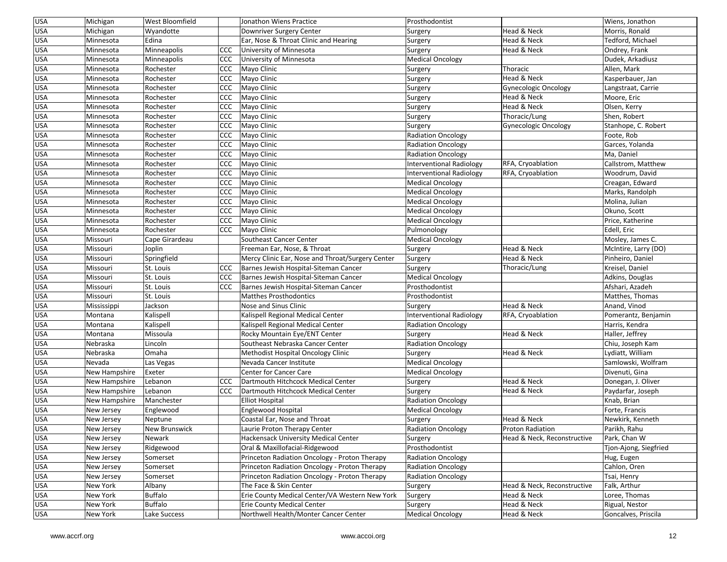| <b>USA</b><br><b>West Bloomfield</b><br>Michigan<br>Jonathon Wiens Practice<br>Prosthodontist                             | Wiens, Jonathon       |
|---------------------------------------------------------------------------------------------------------------------------|-----------------------|
| <b>USA</b><br>Head & Neck<br>Michigan<br>Wyandotte<br>Downriver Surgery Center<br>Surgery                                 | Morris, Ronald        |
| USA<br>Minnesota<br>Edina<br>Ear, Nose & Throat Clinic and Hearing<br>Head & Neck<br>Surgery                              | Tedford, Michael      |
| <b>USA</b><br>CCC<br>Head & Neck<br>Minnesota<br>Minneapolis<br>University of Minnesota<br>Surgery                        | Ondrey, Frank         |
| USA<br>Minnesota<br>Minneapolis<br>CCC<br>University of Minnesota<br><b>Medical Oncology</b>                              | Dudek, Arkadiusz      |
| USA<br>CCC<br>Thoracic<br>Minnesota<br>Rochester<br>Mayo Clinic<br>Surgery                                                | Allen, Mark           |
| USA<br><b>CCC</b><br>Mayo Clinic<br>Head & Neck<br>Minnesota<br>Rochester<br>Surgery                                      | Kasperbauer, Jan      |
| <b>USA</b><br><b>CCC</b><br>Mayo Clinic<br><b>Gynecologic Oncology</b><br>Minnesota<br>Rochester<br>Surgery               | Langstraat, Carrie    |
| USA<br>Rochester<br><b>CCC</b><br>Head & Neck<br>Minnesota<br>Mayo Clinic<br>Surgery                                      | Moore, Eric           |
| <b>USA</b><br><b>CCC</b><br>Mayo Clinic<br>Head & Neck<br>Minnesota<br>Rochester<br>Surgery                               | Olsen, Kerry          |
| <b>USA</b><br><b>CCC</b><br>Mayo Clinic<br>Rochester<br>Thoracic/Lung<br>Minnesota<br>Surgery                             | Shen, Robert          |
| <b>USA</b><br><b>CCC</b><br>Minnesota<br>Rochester<br>Mayo Clinic<br>Surgery<br>Gynecologic Oncology                      | Stanhope, C. Robert   |
| USA<br>CCC<br>Minnesota<br>Rochester<br>Mayo Clinic<br><b>Radiation Oncology</b>                                          | Foote, Rob            |
| USA<br>Minnesota<br>Rochester<br>CCC<br>Mayo Clinic<br><b>Radiation Oncology</b>                                          | Garces, Yolanda       |
| USA<br><b>CCC</b><br>Minnesota<br>Rochester<br>Mayo Clinic<br>Radiation Oncology                                          | Ma, Daniel            |
| <b>USA</b><br><b>CCC</b><br>RFA, Cryoablation<br>Minnesota<br>Rochester<br>Mayo Clinic<br>Interventional Radiology        | Callstrom, Matthew    |
| <b>USA</b><br><b>CCC</b><br>Mayo Clinic<br>RFA, Cryoablation<br>Minnesota<br>Rochester<br>Interventional Radiology        | Woodrum, David        |
| USA<br><b>CCC</b><br>Minnesota<br>Rochester<br>Mayo Clinic<br><b>Medical Oncology</b>                                     | Creagan, Edward       |
| <b>USA</b><br><b>CCC</b><br>Minnesota<br>Rochester<br>Mayo Clinic<br><b>Medical Oncology</b>                              | Marks, Randolph       |
| USA<br>CCC<br>Minnesota<br>Rochester<br>Mayo Clinic<br><b>Medical Oncology</b>                                            | Molina, Julian        |
| USA<br>Minnesota<br>Rochester<br>CCC<br>Mayo Clinic<br><b>Medical Oncology</b>                                            | Okuno, Scott          |
| USA<br><b>CCC</b><br>Mayo Clinic<br>Minnesota<br>Rochester<br><b>Medical Oncology</b>                                     | Price, Katherine      |
| USA<br>Rochester<br>CCC<br>Pulmonology<br>Minnesota<br>Mayo Clinic                                                        | Edell, Eric           |
| USA<br>Missouri<br>Cape Girardeau<br>Southeast Cancer Center<br><b>Medical Oncology</b>                                   | Mosley, James C.      |
| Head & Neck<br>USA<br>Missouri<br>Joplin<br>Freeman Ear, Nose, & Throat<br>Surgery                                        | McIntire, Larry (DO)  |
| <b>USA</b><br>Springfield<br>Mercy Clinic Ear, Nose and Throat/Surgery Center<br>Head & Neck<br>Missouri<br>Surgery       | Pinheiro, Daniel      |
| <b>USA</b><br>St. Louis<br>CCC<br>Barnes Jewish Hospital-Siteman Cancer<br>Missouri<br>Surgery<br>Thoracic/Lung           | Kreisel, Daniel       |
| USA<br>Missouri<br>St. Louis<br><b>CCC</b><br>Barnes Jewish Hospital-Siteman Cancer<br><b>Medical Oncology</b>            | Adkins, Douglas       |
| USA<br>CCC<br>Missouri<br>St. Louis<br>Barnes Jewish Hospital-Siteman Cancer<br>Prosthodontist                            | Afshari, Azadeh       |
| USA<br>St. Louis<br>Missouri<br><b>Matthes Prosthodontics</b><br>Prosthodontist                                           | Matthes, Thomas       |
| USA<br>Nose and Sinus Clinic<br>Head & Neck<br>Mississippi<br>Jackson<br>Surgery                                          | Anand, Vinod          |
| USA<br>Montana<br>Kalispell<br>Kalispell Regional Medical Center<br><b>Interventional Radiology</b><br>RFA, Cryoablation  | Pomerantz, Benjamin   |
| <b>USA</b><br>Montana<br>Kalispell<br>Kalispell Regional Medical Center<br><b>Radiation Oncology</b>                      | Harris, Kendra        |
| <b>USA</b><br>Head & Neck<br>Montana<br>Missoula<br>Rocky Mountain Eye/ENT Center<br>Surgery                              | Haller, Jeffrey       |
| USA<br>Nebraska<br>Lincoln<br>Southeast Nebraska Cancer Center<br><b>Radiation Oncology</b>                               | Chiu, Joseph Kam      |
| USA<br>Omaha<br>Nebraska<br>Methodist Hospital Oncology Clinic<br>Head & Neck<br>Surgery                                  | Lydiatt, William      |
| USA<br>Nevada<br>Las Vegas<br>Nevada Cancer Institute<br><b>Medical Oncology</b>                                          | Samlowski, Wolfram    |
| USA<br>Exeter<br>New Hampshire<br>Center for Cancer Care<br><b>Medical Oncology</b>                                       | Divenuti, Gina        |
| USA<br>New Hampshire<br><b>CCC</b><br>Dartmouth Hitchcock Medical Center<br>Head & Neck<br>Lebanon<br>Surgery             | Donegan, J. Oliver    |
| <b>USA</b><br>Lebanon<br><b>CCC</b><br>Head & Neck<br>New Hampshire<br>Dartmouth Hitchcock Medical Center<br>Surgery      | Paydarfar, Joseph     |
| <b>USA</b><br>New Hampshire<br>Manchester<br><b>Elliot Hospital</b><br><b>Radiation Oncology</b>                          | Knab, Brian           |
| <b>USA</b><br>Englewood Hospital<br><b>Medical Oncology</b><br>New Jersey<br>Englewood                                    | Forte, Francis        |
| USA<br>Coastal Ear, Nose and Throat<br>Head & Neck<br>New Jersey<br>Neptune<br>Surgery                                    | Newkirk, Kenneth      |
| <b>USA</b><br>New Brunswick<br>Radiation Oncology<br>Proton Radiation<br>New Jersey<br>Laurie Proton Therapy Center       | Parikh, Rahu          |
| <b>USA</b><br>Hackensack University Medical Center<br>Head & Neck, Reconstructive<br>New Jersey<br>Newark<br>Surgery      | Park, Chan W          |
| Oral & Maxillofacial-Ridgewood<br>Prosthodontist<br><b>USA</b><br>New Jersey<br>Ridgewood                                 | Tjon-Ajong, Siegfried |
| <b>USA</b><br>Princeton Radiation Oncology - Proton Therapy<br>New Jersey<br>Somerset<br><b>Radiation Oncology</b>        | Hug, Eugen            |
| <b>USA</b><br>Princeton Radiation Oncology - Proton Therapy<br>New Jersey<br>Somerset<br><b>Radiation Oncology</b>        | Cahlon, Oren          |
| <b>USA</b><br>Somerset<br>Princeton Radiation Oncology - Proton Therapy<br><b>Radiation Oncology</b><br>New Jersey        | Tsai, Henry           |
| <b>USA</b><br>Head & Neck, Reconstructive<br>The Face & Skin Center<br>New York<br>Albany<br>Surgery                      | Falk, Arthur          |
| <b>USA</b><br>Buffalo<br>Erie County Medical Center/VA Western New York<br>New York<br>Head & Neck<br>Surgery             | Loree, Thomas         |
| <b>USA</b><br>Buffalo<br>Erie County Medical Center<br>Head & Neck<br>New York<br>Surgery                                 | Rigual, Nestor        |
| <b>Medical Oncology</b><br><b>USA</b><br>Northwell Health/Monter Cancer Center<br>New York<br>Lake Success<br>Head & Neck | Goncalves, Priscila   |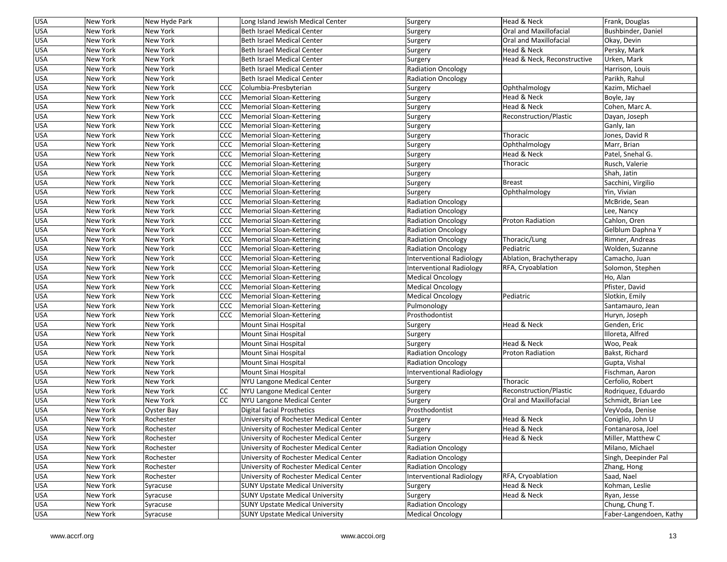| <b>USA</b> | New York             | New Hyde Park   |            | Long Island Jewish Medical Center                                                | Surgery                   | Head & Neck                 | Frank, Douglas                           |
|------------|----------------------|-----------------|------------|----------------------------------------------------------------------------------|---------------------------|-----------------------------|------------------------------------------|
| <b>USA</b> | New York             | New York        |            | Beth Israel Medical Center                                                       | Surgery                   | Oral and Maxillofacial      | Bushbinder, Daniel                       |
| <b>USA</b> | New York             | New York        |            | <b>Beth Israel Medical Center</b>                                                | Surgery                   | Oral and Maxillofacial      | Okay, Devin                              |
| <b>USA</b> | New York             | New York        |            | <b>Beth Israel Medical Center</b>                                                | Surgery                   | Head & Neck                 | Persky, Mark                             |
| <b>USA</b> | New York             | New York        |            | <b>Beth Israel Medical Center</b>                                                | Surgery                   | Head & Neck, Reconstructive | Urken, Mark                              |
| <b>USA</b> | New York             | New York        |            | <b>Beth Israel Medical Center</b>                                                | <b>Radiation Oncology</b> |                             | Harrison, Louis                          |
| <b>USA</b> | New York             | <b>New York</b> |            | <b>Beth Israel Medical Center</b>                                                | Radiation Oncology        |                             | Parikh, Rahul                            |
| <b>USA</b> | New York             | New York        | CCC        | Columbia-Presbyterian                                                            | Surgery                   | Ophthalmology               | Kazim, Michael                           |
| <b>USA</b> | New York             | New York        | <b>CCC</b> | Memorial Sloan-Kettering                                                         | Surgery                   | Head & Neck                 | Boyle, Jay                               |
| <b>USA</b> | New York             | New York        | <b>CCC</b> | Memorial Sloan-Kettering                                                         | Surgery                   | Head & Neck                 | Cohen, Marc A.                           |
| <b>USA</b> | New York             | New York        | <b>CCC</b> | Memorial Sloan-Kettering                                                         | Surgery                   | Reconstruction/Plastic      | Dayan, Joseph                            |
| <b>USA</b> | New York             | New York        | <b>CCC</b> | Memorial Sloan-Kettering                                                         | Surgery                   |                             | Ganly, Ian                               |
| <b>USA</b> | New York             | New York        | <b>CCC</b> | Memorial Sloan-Kettering                                                         | Surgery                   | Thoracic                    | Jones, David R                           |
| USA        | New York             | New York        | <b>CCC</b> | Memorial Sloan-Kettering                                                         | Surgery                   | Ophthalmology               | Marr, Brian                              |
| <b>USA</b> | New York             | New York        | <b>CCC</b> | Memorial Sloan-Kettering                                                         | Surgery                   | Head & Neck                 | Patel, Snehal G.                         |
| <b>USA</b> | New York             | New York        | CCC        | Memorial Sloan-Kettering                                                         | Surgery                   | Thoracic                    | Rusch, Valerie                           |
| USA        | New York             | New York        | <b>CCC</b> | Memorial Sloan-Kettering                                                         | Surgery                   |                             | Shah, Jatin                              |
| <b>USA</b> | New York             | New York        | <b>CCC</b> | Memorial Sloan-Kettering                                                         | Surgery                   | Breast                      | Sacchini, Virgilio                       |
| <b>USA</b> | New York             | New York        | <b>CCC</b> | Memorial Sloan-Kettering                                                         | Surgery                   | Ophthalmology               | Yin, Vivian                              |
| USA        | New York             | New York        | CCC        | Memorial Sloan-Kettering                                                         | <b>Radiation Oncology</b> |                             | McBride, Sean                            |
| <b>USA</b> | New York             | New York        | <b>CCC</b> | Memorial Sloan-Kettering                                                         | <b>Radiation Oncology</b> |                             | Lee, Nancy                               |
| <b>USA</b> | New York             | New York        | <b>CCC</b> | Memorial Sloan-Kettering                                                         | Radiation Oncology        | <b>Proton Radiation</b>     | Cahlon, Oren                             |
| <b>USA</b> | New York             | New York        | CCC        | Memorial Sloan-Kettering                                                         | Radiation Oncology        |                             | Gelblum Daphna Y                         |
| USA        | New York             | New York        | <b>CCC</b> | Memorial Sloan-Kettering                                                         | <b>Radiation Oncology</b> | Thoracic/Lung               | Rimner, Andreas                          |
| <b>USA</b> | New York             | New York        | <b>CCC</b> | Memorial Sloan-Kettering                                                         | <b>Radiation Oncology</b> | Pediatric                   | Wolden, Suzanne                          |
| USA        | New York             | New York        | CCC        | Memorial Sloan-Kettering                                                         | Interventional Radiology  | Ablation, Brachytherapy     | Camacho, Juan                            |
| USA        | New York             | New York        | CCC        | Memorial Sloan-Kettering                                                         | Interventional Radiology  | RFA, Cryoablation           | Solomon, Stephen                         |
| <b>USA</b> | New York             | New York        | <b>CCC</b> | Memorial Sloan-Kettering                                                         | <b>Medical Oncology</b>   |                             | Ho, Alan                                 |
| <b>USA</b> | New York             | New York        | CCC        | Memorial Sloan-Kettering                                                         | <b>Medical Oncology</b>   |                             | Pfister, David                           |
| <b>USA</b> | New York             | New York        | CCC        | Memorial Sloan-Kettering                                                         | <b>Medical Oncology</b>   | Pediatric                   | Slotkin, Emily                           |
| <b>USA</b> | New York             | New York        | CCC        | Memorial Sloan-Kettering                                                         | Pulmonology               |                             | Santamauro, Jean                         |
| USA        | New York             | New York        | <b>CCC</b> | Memorial Sloan-Kettering                                                         | Prosthodontist            |                             | Huryn, Joseph                            |
| <b>USA</b> | New York             | New York        |            | Mount Sinai Hospital                                                             | Surgery                   | Head & Neck                 | Genden, Eric                             |
| <b>USA</b> | New York             | New York        |            | Mount Sinai Hospital                                                             | Surgery                   |                             | Illoreta, Alfred                         |
| <b>USA</b> | New York             | New York        |            | Mount Sinai Hospital                                                             | Surgery                   | Head & Neck                 | Woo, Peak                                |
| <b>USA</b> | New York             | New York        |            | Mount Sinai Hospital                                                             | <b>Radiation Oncology</b> | <b>Proton Radiation</b>     | Bakst, Richard                           |
| <b>USA</b> | New York             | New York        |            | Mount Sinai Hospital                                                             | <b>Radiation Oncology</b> |                             | Gupta, Vishal                            |
| <b>USA</b> | New York             | New York        |            | Mount Sinai Hospital                                                             | Interventional Radiology  |                             | Fischman, Aaron                          |
| USA        | New York             | New York        |            |                                                                                  | Surgery                   | Thoracic                    | Cerfolio, Robert                         |
| <b>USA</b> |                      | New York        | <b>CC</b>  | NYU Langone Medical Center                                                       |                           | Reconstruction/Plastic      |                                          |
| <b>USA</b> | New York<br>New York | New York        | <b>CC</b>  | NYU Langone Medical Center<br>NYU Langone Medical Center                         | Surgery<br>Surgery        | Oral and Maxillofacial      | Rodriquez, Eduardo<br>Schmidt, Brian Lee |
| USA        | New York             | Oyster Bay      |            | Digital facial Prosthetics                                                       | Prosthodontist            |                             | VeyVoda, Denise                          |
| <b>USA</b> | New York             | Rochester       |            | University of Rochester Medical Center                                           |                           | Head & Neck                 | Coniglio, John U                         |
| <b>USA</b> |                      |                 |            | University of Rochester Medical Center                                           | Surgery                   | Head & Neck                 | Fontanarosa, Joel                        |
|            | New York             | Rochester       |            |                                                                                  | Surgery                   |                             |                                          |
| <b>USA</b> | New York             | Rochester       |            | University of Rochester Medical Center<br>University of Rochester Medical Center | Surgery                   | Head & Neck                 | Miller, Matthew C                        |
| <b>USA</b> | New York             | Rochester       |            |                                                                                  | <b>Radiation Oncology</b> |                             | Milano, Michael                          |
| <b>USA</b> | New York             | Rochester       |            | University of Rochester Medical Center                                           | <b>Radiation Oncology</b> |                             | Singh, Deepinder Pal                     |
| <b>USA</b> | New York             | Rochester       |            | University of Rochester Medical Center                                           | <b>Radiation Oncology</b> |                             | Zhang, Hong                              |
| <b>USA</b> | New York             | Rochester       |            | University of Rochester Medical Center                                           | Interventional Radiology  | RFA, Cryoablation           | Saad, Nael                               |
| <b>USA</b> | New York             | Syracuse        |            | <b>SUNY Upstate Medical University</b>                                           | Surgery                   | Head & Neck                 | Kohman, Leslie                           |
| <b>USA</b> | New York             | Syracuse        |            | <b>SUNY Upstate Medical University</b>                                           | Surgery                   | Head & Neck                 | Ryan, Jesse                              |
| <b>USA</b> | New York             | Syracuse        |            | <b>SUNY Upstate Medical University</b>                                           | <b>Radiation Oncology</b> |                             | Chung, Chung T.                          |
| <b>USA</b> | New York             | Syracuse        |            | <b>SUNY Upstate Medical University</b>                                           | <b>Medical Oncology</b>   |                             | Faber-Langendoen, Kathy                  |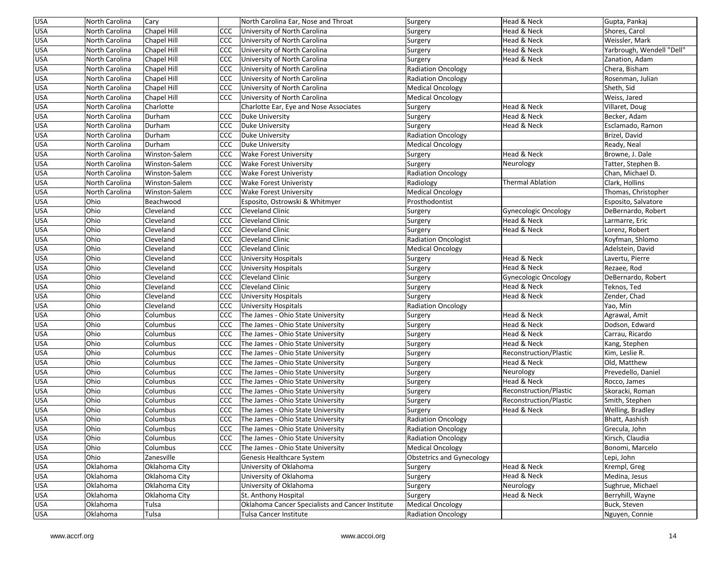| <b>USA</b><br>Head & Neck<br>North Carolina<br>Chapel Hill<br>CCC<br>University of North Carolina<br>Shores, Carol<br>Surgery<br><b>USA</b><br>North Carolina<br>Chapel Hill<br><b>CCC</b><br>University of North Carolina<br>Head & Neck<br>Weissler, Mark<br>Surgery<br><b>USA</b><br>Head & Neck<br>CCC<br>North Carolina<br>Chapel Hill<br>University of North Carolina<br>Surgery<br><b>USA</b><br>Chapel Hill<br><b>CCC</b><br>North Carolina<br>University of North Carolina<br>Surgery<br>Head & Neck<br>Zanation, Adam<br><b>USA</b><br>Chapel Hill<br>CCC<br>University of North Carolina<br><b>Radiation Oncology</b><br>Chera, Bisham<br>North Carolina<br><b>USA</b><br>CCC<br>North Carolina<br>Chapel Hill<br>University of North Carolina<br><b>Radiation Oncology</b><br>Rosenman, Julian<br><b>USA</b><br><b>Chapel Hill</b><br>Sheth, Sid<br>North Carolina<br><b>CCC</b><br>University of North Carolina<br><b>Medical Oncology</b> | Yarbrough, Wendell "Dell" |
|---------------------------------------------------------------------------------------------------------------------------------------------------------------------------------------------------------------------------------------------------------------------------------------------------------------------------------------------------------------------------------------------------------------------------------------------------------------------------------------------------------------------------------------------------------------------------------------------------------------------------------------------------------------------------------------------------------------------------------------------------------------------------------------------------------------------------------------------------------------------------------------------------------------------------------------------------------|---------------------------|
|                                                                                                                                                                                                                                                                                                                                                                                                                                                                                                                                                                                                                                                                                                                                                                                                                                                                                                                                                         |                           |
|                                                                                                                                                                                                                                                                                                                                                                                                                                                                                                                                                                                                                                                                                                                                                                                                                                                                                                                                                         |                           |
|                                                                                                                                                                                                                                                                                                                                                                                                                                                                                                                                                                                                                                                                                                                                                                                                                                                                                                                                                         |                           |
|                                                                                                                                                                                                                                                                                                                                                                                                                                                                                                                                                                                                                                                                                                                                                                                                                                                                                                                                                         |                           |
|                                                                                                                                                                                                                                                                                                                                                                                                                                                                                                                                                                                                                                                                                                                                                                                                                                                                                                                                                         |                           |
|                                                                                                                                                                                                                                                                                                                                                                                                                                                                                                                                                                                                                                                                                                                                                                                                                                                                                                                                                         |                           |
|                                                                                                                                                                                                                                                                                                                                                                                                                                                                                                                                                                                                                                                                                                                                                                                                                                                                                                                                                         |                           |
| <b>USA</b><br>Weiss, Jared<br>North Carolina<br>Chapel Hill<br><b>CCC</b><br>University of North Carolina<br><b>Medical Oncology</b>                                                                                                                                                                                                                                                                                                                                                                                                                                                                                                                                                                                                                                                                                                                                                                                                                    |                           |
| Head & Neck<br><b>USA</b><br>North Carolina<br>Charlotte<br>Charlotte Ear, Eye and Nose Associates<br>Villaret, Doug<br>Surgery                                                                                                                                                                                                                                                                                                                                                                                                                                                                                                                                                                                                                                                                                                                                                                                                                         |                           |
| <b>USA</b><br>CCC<br>North Carolina<br>Durham<br>Head & Neck<br>Becker, Adam<br>Duke University<br>Surgery                                                                                                                                                                                                                                                                                                                                                                                                                                                                                                                                                                                                                                                                                                                                                                                                                                              |                           |
| <b>USA</b><br>North Carolina<br>Durham<br><b>CCC</b><br>Duke University<br>Surgery<br>Head & Neck<br>Esclamado, Ramon                                                                                                                                                                                                                                                                                                                                                                                                                                                                                                                                                                                                                                                                                                                                                                                                                                   |                           |
| <b>USA</b><br>CCC<br><b>Radiation Oncology</b><br>North Carolina<br>Durham<br>Duke University<br>Brizel, David                                                                                                                                                                                                                                                                                                                                                                                                                                                                                                                                                                                                                                                                                                                                                                                                                                          |                           |
| <b>USA</b><br><b>CCC</b><br>North Carolina<br>Durham<br>Duke University<br><b>Medical Oncology</b><br>Ready, Neal                                                                                                                                                                                                                                                                                                                                                                                                                                                                                                                                                                                                                                                                                                                                                                                                                                       |                           |
| <b>USA</b><br>Head & Neck<br>North Carolina<br>Winston-Salem<br><b>CCC</b><br><b>Wake Forest University</b><br>Browne, J. Dale<br>Surgery                                                                                                                                                                                                                                                                                                                                                                                                                                                                                                                                                                                                                                                                                                                                                                                                               |                           |
| <b>USA</b><br><b>Wake Forest University</b><br>North Carolina<br>Winston-Salem<br><b>CCC</b><br>Surgery<br>Neurology<br>Tatter, Stephen B.                                                                                                                                                                                                                                                                                                                                                                                                                                                                                                                                                                                                                                                                                                                                                                                                              |                           |
| <b>USA</b><br>North Carolina<br>Winston-Salem<br><b>CCC</b><br><b>Wake Forest Univeristy</b><br><b>Radiation Oncology</b><br>Chan, Michael D.                                                                                                                                                                                                                                                                                                                                                                                                                                                                                                                                                                                                                                                                                                                                                                                                           |                           |
| <b>USA</b><br>North Carolina<br>Winston-Salem<br><b>CCC</b><br><b>Wake Forest Univeristy</b><br>Radiology<br><b>Thermal Ablation</b><br>Clark, Hollins                                                                                                                                                                                                                                                                                                                                                                                                                                                                                                                                                                                                                                                                                                                                                                                                  |                           |
| <b>USA</b><br>Thomas, Christopher<br>North Carolina<br>Winston-Salem<br><b>CCC</b><br><b>Wake Forest University</b><br><b>Medical Oncology</b>                                                                                                                                                                                                                                                                                                                                                                                                                                                                                                                                                                                                                                                                                                                                                                                                          |                           |
| <b>USA</b><br>Ohio<br>Beachwood<br>Esposito, Ostrowski & Whitmyer<br>Prosthodontist<br>Esposito, Salvatore                                                                                                                                                                                                                                                                                                                                                                                                                                                                                                                                                                                                                                                                                                                                                                                                                                              |                           |
| <b>USA</b><br>Ohio<br>Cleveland<br><b>CCC</b><br><b>Cleveland Clinic</b><br>Gynecologic Oncology<br>DeBernardo, Robert<br>Surgery                                                                                                                                                                                                                                                                                                                                                                                                                                                                                                                                                                                                                                                                                                                                                                                                                       |                           |
| <b>USA</b><br>Ohio<br>Head & Neck<br>Cleveland<br><b>CCC</b><br><b>Cleveland Clinic</b><br>Larmarre, Eric<br>Surgery                                                                                                                                                                                                                                                                                                                                                                                                                                                                                                                                                                                                                                                                                                                                                                                                                                    |                           |
| Head & Neck<br><b>USA</b><br>Ohio<br>Cleveland<br><b>CCC</b><br><b>Cleveland Clinic</b><br>Surgery<br>Lorenz, Robert                                                                                                                                                                                                                                                                                                                                                                                                                                                                                                                                                                                                                                                                                                                                                                                                                                    |                           |
| <b>USA</b><br>Ohio<br>Cleveland<br><b>CCC</b><br><b>Cleveland Clinic</b><br><b>Radiation Oncologist</b><br>Koyfman, Shlomo                                                                                                                                                                                                                                                                                                                                                                                                                                                                                                                                                                                                                                                                                                                                                                                                                              |                           |
| <b>USA</b><br>CCC<br>Ohio<br>Cleveland<br><b>Cleveland Clinic</b><br><b>Medical Oncology</b><br>Adelstein, David                                                                                                                                                                                                                                                                                                                                                                                                                                                                                                                                                                                                                                                                                                                                                                                                                                        |                           |
| <b>USA</b><br>Head & Neck<br>Ohio<br>Cleveland<br><b>CCC</b><br>University Hospitals<br>Lavertu, Pierre<br>Surgery                                                                                                                                                                                                                                                                                                                                                                                                                                                                                                                                                                                                                                                                                                                                                                                                                                      |                           |
| Head & Neck<br><b>USA</b><br>CCC<br>Rezaee, Rod<br>Ohio<br>Cleveland<br>University Hospitals<br>Surgery                                                                                                                                                                                                                                                                                                                                                                                                                                                                                                                                                                                                                                                                                                                                                                                                                                                 |                           |
| <b>USA</b><br>Ohio<br>Cleveland<br>CCC<br><b>Cleveland Clinic</b><br><b>Gynecologic Oncology</b><br>DeBernardo, Robert<br>Surgery                                                                                                                                                                                                                                                                                                                                                                                                                                                                                                                                                                                                                                                                                                                                                                                                                       |                           |
| Head & Neck<br><b>USA</b><br>Ohio<br>CCC<br>Cleveland<br><b>Cleveland Clinic</b><br>Surgery<br>Teknos, Ted                                                                                                                                                                                                                                                                                                                                                                                                                                                                                                                                                                                                                                                                                                                                                                                                                                              |                           |
| <b>USA</b><br>Ohio<br>CCC<br>Head & Neck<br>Cleveland<br><b>University Hospitals</b><br>Surgery<br>Zender, Chad                                                                                                                                                                                                                                                                                                                                                                                                                                                                                                                                                                                                                                                                                                                                                                                                                                         |                           |
| <b>USA</b><br>Ohio<br>CCC<br>Cleveland<br>University Hospitals<br><b>Radiation Oncology</b><br>Yao, Min                                                                                                                                                                                                                                                                                                                                                                                                                                                                                                                                                                                                                                                                                                                                                                                                                                                 |                           |
| <b>USA</b><br>Head & Neck<br>Ohio<br>Columbus<br><b>CCC</b><br>The James - Ohio State University<br>Agrawal, Amit<br>Surgery                                                                                                                                                                                                                                                                                                                                                                                                                                                                                                                                                                                                                                                                                                                                                                                                                            |                           |
| <b>USA</b><br>Ohio<br>The James - Ohio State University<br>Head & Neck<br>Columbus<br><b>CCC</b><br>Dodson, Edward<br>Surgery                                                                                                                                                                                                                                                                                                                                                                                                                                                                                                                                                                                                                                                                                                                                                                                                                           |                           |
| <b>USA</b><br>Head & Neck<br>Ohio<br>Columbus<br><b>CCC</b><br>The James - Ohio State University<br>Carrau, Ricardo<br>Surgery                                                                                                                                                                                                                                                                                                                                                                                                                                                                                                                                                                                                                                                                                                                                                                                                                          |                           |
| <b>USA</b><br>Ohio<br>Columbus<br><b>CCC</b><br>The James - Ohio State University<br>Head & Neck<br>Kang, Stephen<br>Surgery                                                                                                                                                                                                                                                                                                                                                                                                                                                                                                                                                                                                                                                                                                                                                                                                                            |                           |
| <b>USA</b><br>Ohio<br>CCC<br>Kim, Leslie R.<br>Columbus<br>The James - Ohio State University<br>Reconstruction/Plastic<br>Surgery                                                                                                                                                                                                                                                                                                                                                                                                                                                                                                                                                                                                                                                                                                                                                                                                                       |                           |
| <b>USA</b><br>Ohio<br>Head & Neck<br>Columbus<br><b>CCC</b><br>The James - Ohio State University<br>Surgery<br>Old, Matthew                                                                                                                                                                                                                                                                                                                                                                                                                                                                                                                                                                                                                                                                                                                                                                                                                             |                           |
| <b>USA</b><br>Ohio<br>The James - Ohio State University<br>Neurology<br>Columbus<br><b>CCC</b><br>Prevedello, Daniel<br>Surgery                                                                                                                                                                                                                                                                                                                                                                                                                                                                                                                                                                                                                                                                                                                                                                                                                         |                           |
| Head & Neck<br><b>USA</b><br>Ohio<br><b>CCC</b><br>The James - Ohio State University<br>Rocco, James<br>Columbus<br>Surgery                                                                                                                                                                                                                                                                                                                                                                                                                                                                                                                                                                                                                                                                                                                                                                                                                             |                           |
| <b>USA</b><br>Ohio<br>Reconstruction/Plastic<br>Columbus<br><b>CCC</b><br>The James - Ohio State University<br>Skoracki, Roman<br>Surgery                                                                                                                                                                                                                                                                                                                                                                                                                                                                                                                                                                                                                                                                                                                                                                                                               |                           |
| <b>USA</b><br>Ohio<br>Columbus<br><b>CCC</b><br>The James - Ohio State University<br>Surgery<br>Reconstruction/Plastic<br>Smith, Stephen                                                                                                                                                                                                                                                                                                                                                                                                                                                                                                                                                                                                                                                                                                                                                                                                                |                           |
| The James - Ohio State University<br>Head & Neck<br><b>USA</b><br>Ohio<br>Columbus<br><b>CCC</b><br>Welling, Bradley<br>Surgery                                                                                                                                                                                                                                                                                                                                                                                                                                                                                                                                                                                                                                                                                                                                                                                                                         |                           |
| <b>USA</b><br>Ohio<br>CCC<br>The James - Ohio State University<br><b>Radiation Oncology</b><br>Bhatt, Aashish<br>Columbus                                                                                                                                                                                                                                                                                                                                                                                                                                                                                                                                                                                                                                                                                                                                                                                                                               |                           |
| <b>USA</b><br>Ohio<br>CCC The James - Ohio State University<br>Radiation Oncology<br>Columbus<br>Grecula, John                                                                                                                                                                                                                                                                                                                                                                                                                                                                                                                                                                                                                                                                                                                                                                                                                                          |                           |
| <b>USA</b><br>Ohio<br>The James - Ohio State University<br>Kirsch, Claudia<br>Columbus<br><b>CCC</b><br><b>Radiation Oncology</b>                                                                                                                                                                                                                                                                                                                                                                                                                                                                                                                                                                                                                                                                                                                                                                                                                       |                           |
| <b>USA</b><br>The James - Ohio State University<br><b>Medical Oncology</b><br>Bonomi, Marcelo<br>Ohio<br>Columbus<br>CCC                                                                                                                                                                                                                                                                                                                                                                                                                                                                                                                                                                                                                                                                                                                                                                                                                                |                           |
| <b>USA</b><br>Ohio<br>Zanesville<br>Genesis Healthcare System<br><b>Obstetrics and Gynecology</b><br>Lepi, John                                                                                                                                                                                                                                                                                                                                                                                                                                                                                                                                                                                                                                                                                                                                                                                                                                         |                           |
| Head & Neck<br><b>USA</b><br>Oklahoma City<br>Oklahoma<br>University of Oklahoma<br>Krempl, Greg<br>Surgery                                                                                                                                                                                                                                                                                                                                                                                                                                                                                                                                                                                                                                                                                                                                                                                                                                             |                           |
| <b>USA</b><br>Oklahoma<br>Oklahoma City<br>University of Oklahoma<br>Head & Neck<br>Medina, Jesus<br>Surgery                                                                                                                                                                                                                                                                                                                                                                                                                                                                                                                                                                                                                                                                                                                                                                                                                                            |                           |
| <b>USA</b><br>Oklahoma City<br>University of Oklahoma<br>Neurology<br>Oklahoma<br>Sughrue, Michael<br>Surgery                                                                                                                                                                                                                                                                                                                                                                                                                                                                                                                                                                                                                                                                                                                                                                                                                                           |                           |
| <b>USA</b><br>Oklahoma City<br>Head & Neck<br>Berryhill, Wayne<br>Oklahoma<br>St. Anthony Hospital<br>Surgery                                                                                                                                                                                                                                                                                                                                                                                                                                                                                                                                                                                                                                                                                                                                                                                                                                           |                           |
| <b>USA</b><br>Oklahoma Cancer Specialists and Cancer Institute<br><b>Medical Oncology</b><br>Buck, Steven<br>Oklahoma<br>Tulsa                                                                                                                                                                                                                                                                                                                                                                                                                                                                                                                                                                                                                                                                                                                                                                                                                          |                           |
| <b>USA</b><br><b>Radiation Oncology</b><br>Nguyen, Connie<br>Oklahoma<br>Tulsa<br>Tulsa Cancer Institute                                                                                                                                                                                                                                                                                                                                                                                                                                                                                                                                                                                                                                                                                                                                                                                                                                                |                           |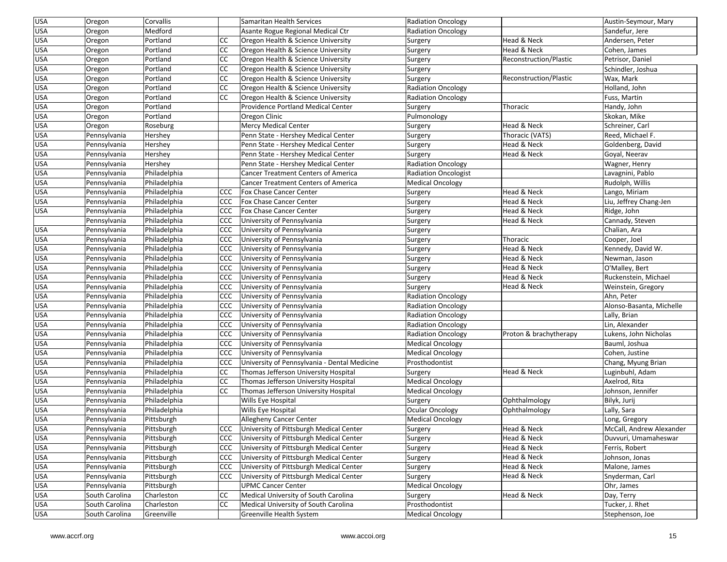| USA        | Oregon         | Corvallis    |               | Samaritan Health Services                    | <b>Radiation Oncology</b>   |                        | Austin-Seymour, Mary     |
|------------|----------------|--------------|---------------|----------------------------------------------|-----------------------------|------------------------|--------------------------|
| USA        | Oregon         | Medford      |               | Asante Rogue Regional Medical Ctr            | <b>Radiation Oncology</b>   |                        | Sandefur, Jere           |
| USA        | Oregon         | Portland     | <sub>CC</sub> | Oregon Health & Science University           | Surgery                     | Head & Neck            | Andersen, Peter          |
| <b>USA</b> | Oregon         | Portland     | <b>CC</b>     | Oregon Health & Science University           | Surgery                     | Head & Neck            | Cohen, James             |
| USA        | Oregon         | Portland     | <b>CC</b>     | Oregon Health & Science University           | Surgery                     | Reconstruction/Plastic | Petrisor, Daniel         |
| <b>USA</b> | Oregon         | Portland     | <b>CC</b>     | Oregon Health & Science University           | Surgery                     |                        | Schindler, Joshua        |
| USA        | Oregon         | Portland     | <b>CC</b>     | Oregon Health & Science University           | Surgery                     | Reconstruction/Plastic | Wax, Mark                |
| USA        | Oregon         | Portland     | <b>CC</b>     | Oregon Health & Science University           | <b>Radiation Oncology</b>   |                        | Holland, John            |
| <b>USA</b> | Oregon         | Portland     | <b>CC</b>     | Oregon Health & Science University           | <b>Radiation Oncology</b>   |                        | Fuss, Martin             |
| USA        | Oregon         | Portland     |               | <b>Providence Portland Medical Center</b>    | Surgery                     | Thoracic               | Handy, John              |
| <b>USA</b> | Oregon         | Portland     |               | Oregon Clinic                                | Pulmonology                 |                        | Skokan, Mike             |
| USA        | Oregon         | Roseburg     |               | <b>Mercy Medical Center</b>                  | Surgery                     | Head & Neck            | Schreiner, Carl          |
| USA        | Pennsylvania   | Hershey      |               | Penn State - Hershey Medical Center          | Surgery                     | Thoracic (VATS)        | Reed, Michael F.         |
| USA        | Pennsylvania   | Hershey      |               | Penn State - Hershey Medical Center          | Surgery                     | Head & Neck            | Goldenberg, David        |
| USA        | Pennsylvania   | Hershey      |               | Penn State - Hershey Medical Center          | Surgery                     | Head & Neck            | Goyal, Neerav            |
| USA        | Pennsylvania   | Hershey      |               | Penn State - Hershey Medical Center          | <b>Radiation Oncology</b>   |                        | Wagner, Henry            |
| USA        | Pennsylvania   | Philadelphia |               | <b>Cancer Treatment Centers of America</b>   | <b>Radiation Oncologist</b> |                        | Lavagnini, Pablo         |
| USA        | Pennsylvania   | Philadelphia |               | <b>Cancer Treatment Centers of America</b>   | <b>Medical Oncology</b>     |                        | Rudolph, Willis          |
| USA        | Pennsylvania   | Philadelphia | <b>CCC</b>    | Fox Chase Cancer Center                      | Surgery                     | Head & Neck            | Lango, Miriam            |
| <b>USA</b> | Pennsylvania   | Philadelphia | CCC           | Fox Chase Cancer Center                      | Surgery                     | Head & Neck            | Liu, Jeffrey Chang-Jen   |
| USA        | Pennsylvania   | Philadelphia | CCC           | Fox Chase Cancer Center                      | Surgery                     | Head & Neck            | Ridge, John              |
|            | Pennsylvania   | Philadelphia | ccc           | University of Pennsylvania                   | Surgery                     | Head & Neck            | Cannady, Steven          |
| USA        | Pennsylvania   | Philadelphia | <b>CCC</b>    | University of Pennsylvania                   | Surgery                     |                        | Chalian, Ara             |
| USA        | Pennsylvania   | Philadelphia | ccc           | University of Pennsylvania                   | Surgery                     | Thoracic               | Cooper, Joel             |
| USA        | Pennsylvania   | Philadelphia | ccc           | University of Pennsylvania                   | Surgery                     | Head & Neck            | Kennedy, David W.        |
| USA        | Pennsylvania   | Philadelphia | <b>CCC</b>    | University of Pennsylvania                   | Surgery                     | Head & Neck            | Newman, Jason            |
| <b>USA</b> | Pennsylvania   | Philadelphia | CCC           | University of Pennsylvania                   | Surgery                     | Head & Neck            | O'Malley, Bert           |
| <b>USA</b> | Pennsylvania   | Philadelphia | CCC           | University of Pennsylvania                   | Surgery                     | Head & Neck            | Ruckenstein, Michael     |
| <b>USA</b> | Pennsylvania   | Philadelphia | ccc           | University of Pennsylvania                   | Surgery                     | Head & Neck            | Weinstein, Gregory       |
| USA        | Pennsylvania   | Philadelphia | <b>CCC</b>    | University of Pennsylvania                   | <b>Radiation Oncology</b>   |                        | Ahn, Peter               |
| USA        | Pennsylvania   | Philadelphia | CCC           | University of Pennsylvania                   | <b>Radiation Oncology</b>   |                        | Alonso-Basanta, Michelle |
| <b>USA</b> | Pennsylvania   | Philadelphia | CCC           | University of Pennsylvania                   | <b>Radiation Oncology</b>   |                        | Lally, Brian             |
| USA        | Pennsylvania   | Philadelphia | ccc           | University of Pennsylvania                   | <b>Radiation Oncology</b>   |                        | Lin, Alexander           |
| <b>USA</b> | Pennsylvania   | Philadelphia | CCC           | University of Pennsylvania                   | <b>Radiation Oncology</b>   | Proton & brachytherapy | Lukens, John Nicholas    |
| <b>USA</b> | Pennsylvania   | Philadelphia | CCC           | University of Pennsylvania                   | <b>Medical Oncology</b>     |                        | Bauml, Joshua            |
| <b>USA</b> | Pennsylvania   | Philadelphia | CCC           | University of Pennsylvania                   | <b>Medical Oncology</b>     |                        | Cohen, Justine           |
| USA        | Pennsylvania   | Philadelphia | CCC           | University of Pennsylvania - Dental Medicine | Prosthodontist              |                        | Chang, Myung Brian       |
| <b>USA</b> | Pennsylvania   | Philadelphia | <b>CC</b>     | Thomas Jefferson University Hospital         | Surgery                     | Head & Neck            | Luginbuhl, Adam          |
| USA        | Pennsylvania   | Philadelphia | <b>CC</b>     | Thomas Jefferson University Hospital         | <b>Medical Oncology</b>     |                        | Axelrod, Rita            |
| <b>USA</b> | Pennsylvania   | Philadelphia | <b>CC</b>     | Thomas Jefferson University Hospital         | <b>Medical Oncology</b>     |                        | Johnson, Jennifer        |
| <b>USA</b> | Pennsylvania   | Philadelphia |               | Wills Eye Hospital                           | Surgery                     | Ophthalmology          | Bilyk, Jurij             |
| USA        | Pennsylvania   | Philadelphia |               | Wills Eye Hospital                           | <b>Ocular Oncology</b>      | Ophthalmology          | Lally, Sara              |
| USA        | Pennsylvania   | Pittsburgh   |               | Allegheny Cancer Center                      | <b>Medical Oncology</b>     |                        | Long, Gregory            |
| <b>USA</b> | Pennsylvania   | Pittsburgh   |               | CCC University of Pittsburgh Medical Center  | Surgery                     | Head & Neck            | McCall, Andrew Alexander |
| <b>USA</b> | Pennsylvania   | Pittsburgh   | <b>CCC</b>    | University of Pittsburgh Medical Center      | Surgery                     | Head & Neck            | Duvvuri, Umamaheswar     |
| <b>USA</b> | Pennsylvania   | Pittsburgh   | <b>CCC</b>    | University of Pittsburgh Medical Center      | Surgery                     | Head & Neck            | Ferris, Robert           |
| <b>USA</b> | Pennsylvania   | Pittsburgh   | <b>CCC</b>    | University of Pittsburgh Medical Center      | Surgery                     | Head & Neck            | Johnson, Jonas           |
| <b>USA</b> | Pennsylvania   | Pittsburgh   | <b>CCC</b>    | University of Pittsburgh Medical Center      | Surgery                     | Head & Neck            | Malone, James            |
| <b>USA</b> | Pennsylvania   | Pittsburgh   | <b>CCC</b>    | University of Pittsburgh Medical Center      | Surgery                     | Head & Neck            | Snyderman, Carl          |
| <b>USA</b> | Pennsylvania   | Pittsburgh   |               | <b>UPMC Cancer Center</b>                    | <b>Medical Oncology</b>     |                        | Ohr, James               |
| USA        | South Carolina | Charleston   | <b>CC</b>     | Medical University of South Carolina         | Surgery                     | Head & Neck            | Day, Terry               |
| <b>USA</b> | South Carolina | Charleston   | <b>CC</b>     | Medical University of South Carolina         | Prosthodontist              |                        | Tucker, J. Rhet          |
| <b>USA</b> | South Carolina | Greenville   |               | Greenville Health System                     | <b>Medical Oncology</b>     |                        | Stephenson, Joe          |
|            |                |              |               |                                              |                             |                        |                          |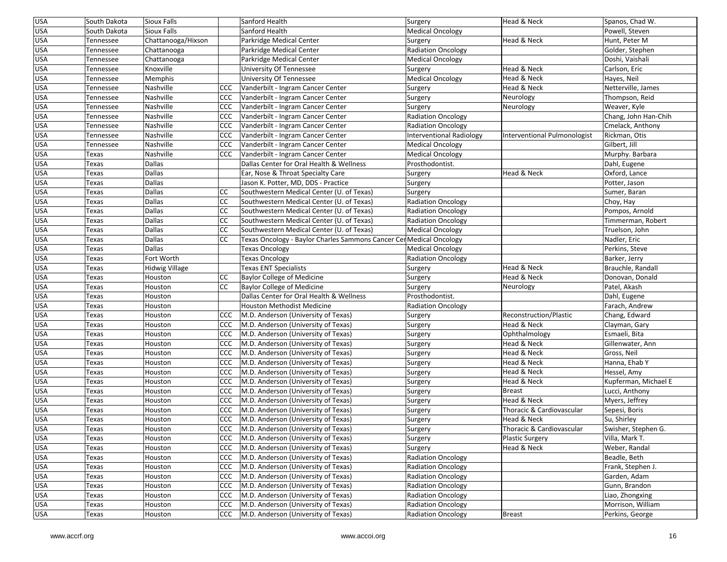| <b>USA</b> | South Dakota   | Sioux Falls           |               | Sanford Health                                                     | Surgery                         | Head & Neck                  | Spanos, Chad W.      |
|------------|----------------|-----------------------|---------------|--------------------------------------------------------------------|---------------------------------|------------------------------|----------------------|
| <b>USA</b> | South Dakota   | Sioux Falls           |               | Sanford Health                                                     | <b>Medical Oncology</b>         |                              | Powell, Steven       |
| <b>USA</b> | Tennessee      | Chattanooga/Hixson    |               | Parkridge Medical Center                                           | Surgery                         | Head & Neck                  | Hunt, Peter M        |
| <b>USA</b> | Tennessee      | Chattanooga           |               | Parkridge Medical Center                                           | <b>Radiation Oncology</b>       |                              | Golder, Stephen      |
| USA        | Tennessee      | Chattanooga           |               | Parkridge Medical Center                                           | <b>Medical Oncology</b>         |                              | Doshi, Vaishali      |
| <b>USA</b> | Tennessee      | Knoxville             |               | University Of Tennessee                                            | Surgery                         | Head & Neck                  | Carlson, Eric        |
| USA        | Tennessee      | Memphis               |               | University Of Tennessee                                            | <b>Medical Oncology</b>         | Head & Neck                  | Hayes, Neil          |
| USA        | Tennessee      | Nashville             | <b>CCC</b>    | Vanderbilt - Ingram Cancer Center                                  | Surgery                         | Head & Neck                  | Netterville, James   |
| USA        | Tennessee      | Nashville             | <b>CCC</b>    | Vanderbilt - Ingram Cancer Center                                  | Surgery                         | Neurology                    | Thompson, Reid       |
| <b>USA</b> | Tennessee      | Nashville             | <b>CCC</b>    | Vanderbilt - Ingram Cancer Center                                  | Surgery                         | Neurology                    | Weaver, Kyle         |
| USA        | Tennessee      | Nashville             | CCC           | Vanderbilt - Ingram Cancer Center                                  | <b>Radiation Oncology</b>       |                              | Chang, John Han-Chih |
| USA        | Tennessee      | Nashville             | <b>CCC</b>    | Vanderbilt - Ingram Cancer Center                                  | <b>Radiation Oncology</b>       |                              | Cmelack, Anthony     |
| USA        | Tennessee      | Nashville             | CCC           | Vanderbilt - Ingram Cancer Center                                  | <b>Interventional Radiology</b> | Interventional Pulmonologist | Rickman, Otis        |
| <b>USA</b> | Tennessee      | Nashville             | CCC           | Vanderbilt - Ingram Cancer Center                                  | <b>Medical Oncology</b>         |                              | Gilbert, Jill        |
| USA        | Texas          | Nashville             | <b>CCC</b>    | Vanderbilt - Ingram Cancer Center                                  | <b>Medical Oncology</b>         |                              | Murphy. Barbara      |
| USA        | Texas          | Dallas                |               | Dallas Center for Oral Health & Wellness                           | Prosthodontist.                 |                              | Dahl, Eugene         |
| USA        | Texas          | Dallas                |               | Ear, Nose & Throat Specialty Care                                  | Surgery                         | Head & Neck                  | Oxford, Lance        |
| USA        | Texas          | Dallas                |               | Jason K. Potter, MD, DDS - Practice                                | Surgery                         |                              | Potter, Jason        |
| USA        | Texas          | <b>Dallas</b>         | <b>CC</b>     | Southwestern Medical Center (U. of Texas)                          | Surgery                         |                              | Sumer, Baran         |
| <b>USA</b> | Texas          | Dallas                | <b>CC</b>     | Southwestern Medical Center (U. of Texas)                          | <b>Radiation Oncology</b>       |                              | Choy, Hay            |
| <b>USA</b> | Texas          | Dallas                | <b>CC</b>     | Southwestern Medical Center (U. of Texas)                          | <b>Radiation Oncology</b>       |                              | Pompos, Arnold       |
| <b>USA</b> | Texas          | Dallas                | <b>CC</b>     | Southwestern Medical Center (U. of Texas)                          | Radiation Oncology              |                              | Timmerman, Robert    |
| USA        | Texas          | Dallas                | <sub>CC</sub> | Southwestern Medical Center (U. of Texas)                          | <b>Medical Oncology</b>         |                              | Truelson, John       |
| <b>USA</b> | Texas          | Dallas                | CC            | Texas Oncology - Baylor Charles Sammons Cancer CerMedical Oncology |                                 |                              | Nadler, Eric         |
| USA        | Texas          | Dallas                |               | <b>Texas Oncology</b>                                              | <b>Medical Oncology</b>         |                              | Perkins, Steve       |
| USA        | Texas          | Fort Worth            |               | <b>Texas Oncology</b>                                              | <b>Radiation Oncology</b>       |                              | Barker, Jerry        |
| <b>USA</b> | Texas          | <b>Hidwig Village</b> |               | <b>Texas ENT Specialists</b>                                       | Surgery                         | Head & Neck                  | Brauchle, Randall    |
| <b>USA</b> | Texas          | Houston               | <sub>CC</sub> | <b>Baylor College of Medicine</b>                                  | Surgery                         | Head & Neck                  | Donovan, Donald      |
| USA        | Texas          | Houston               | <sub>CC</sub> | <b>Baylor College of Medicine</b>                                  | Surgery                         | Neurology                    | Patel, Akash         |
| USA        | Texas          | Houston               |               | Dallas Center for Oral Health & Wellness                           | Prosthodontist.                 |                              | Dahl, Eugene         |
| USA        | Texas          | Houston               |               | Houston Methodist Medicine                                         | <b>Radiation Oncology</b>       |                              | Farach, Andrew       |
| <b>USA</b> | Texas          | Houston               | CCC           | M.D. Anderson (University of Texas)                                | Surgery                         | Reconstruction/Plastic       | Chang, Edward        |
| USA        | Texas          | Houston               | <b>CCC</b>    | M.D. Anderson (University of Texas)                                | Surgery                         | Head & Neck                  | Clayman, Gary        |
| <b>USA</b> | Texas          | Houston               | <b>CCC</b>    | M.D. Anderson (University of Texas)                                | Surgery                         | Ophthalmology                | Esmaeli, Bita        |
| <b>USA</b> | Texas          | Houston               | <b>CCC</b>    | M.D. Anderson (University of Texas)                                | Surgery                         | Head & Neck                  | Gillenwater, Ann     |
| USA        | Texas          | Houston               | <b>CCC</b>    | M.D. Anderson (University of Texas)                                | Surgery                         | Head & Neck                  | Gross, Neil          |
| USA        | Texas          | Houston               | <b>CCC</b>    | M.D. Anderson (University of Texas)                                | Surgery                         | Head & Neck                  | Hanna, Ehab Y        |
| USA        | Texas          | Houston               | <b>CCC</b>    | M.D. Anderson (University of Texas)                                | Surgery                         | Head & Neck                  | Hessel, Amy          |
| <b>USA</b> | Texas          | Houston               | <b>CCC</b>    | M.D. Anderson (University of Texas)                                | Surgery                         | Head & Neck                  | Kupferman, Michael E |
| <b>USA</b> | Texas          | Houston               | <b>CCC</b>    | M.D. Anderson (University of Texas)                                | Surgery                         | <b>Breast</b>                | Lucci, Anthony       |
| <b>USA</b> | Texas          | Houston               | <b>CCC</b>    | M.D. Anderson (University of Texas)                                | Surgery                         | Head & Neck                  | Myers, Jeffrey       |
| USA        | Texas          | Houston               |               | CCC   M.D. Anderson (University of Texas)                          | Surgery                         | Thoracic & Cardiovascular    | Sepesi, Boris        |
| USA        | Texas          | Houston               |               | CCC   M.D. Anderson (University of Texas)                          | Surgery                         | Head & Neck                  | Su, Shirley          |
| <b>USA</b> | Texas          | Houston               |               | CCC M.D. Anderson (University of Texas)                            | Surgery                         | Thoracic & Cardiovascular    | Swisher, Stephen G.  |
| <b>USA</b> | Texas          | Houston               | CCC           | M.D. Anderson (University of Texas)                                |                                 | Plastic Surgery              | Villa, Mark T.       |
| <b>USA</b> | Texas          | Houston               | <b>CCC</b>    | M.D. Anderson (University of Texas)                                | Surgery<br>Surgery              | Head & Neck                  | Weber, Randal        |
| <b>USA</b> | Texas          | Houston               | <b>CCC</b>    | M.D. Anderson (University of Texas)                                | Radiation Oncology              |                              | Beadle, Beth         |
| <b>USA</b> |                | Houston               | <b>CCC</b>    | M.D. Anderson (University of Texas)                                | <b>Radiation Oncology</b>       |                              | Frank, Stephen J.    |
| <b>USA</b> | Texas          | Houston               | <b>CCC</b>    | M.D. Anderson (University of Texas)                                | <b>Radiation Oncology</b>       |                              | Garden, Adam         |
| <b>USA</b> | Texas          | Houston               | <b>CCC</b>    | M.D. Anderson (University of Texas)                                | <b>Radiation Oncology</b>       |                              | Gunn, Brandon        |
| USA        | Texas<br>Texas | Houston               | <b>CCC</b>    | M.D. Anderson (University of Texas)                                | <b>Radiation Oncology</b>       |                              | Liao, Zhongxing      |
| <b>USA</b> |                |                       | <b>CCC</b>    | M.D. Anderson (University of Texas)                                | <b>Radiation Oncology</b>       |                              | Morrison, William    |
| <b>USA</b> | Texas          | Houston               |               | M.D. Anderson (University of Texas)                                |                                 |                              |                      |
|            | Texas          | Houston               | CCC           |                                                                    | <b>Radiation Oncology</b>       | <b>Breast</b>                | Perkins, George      |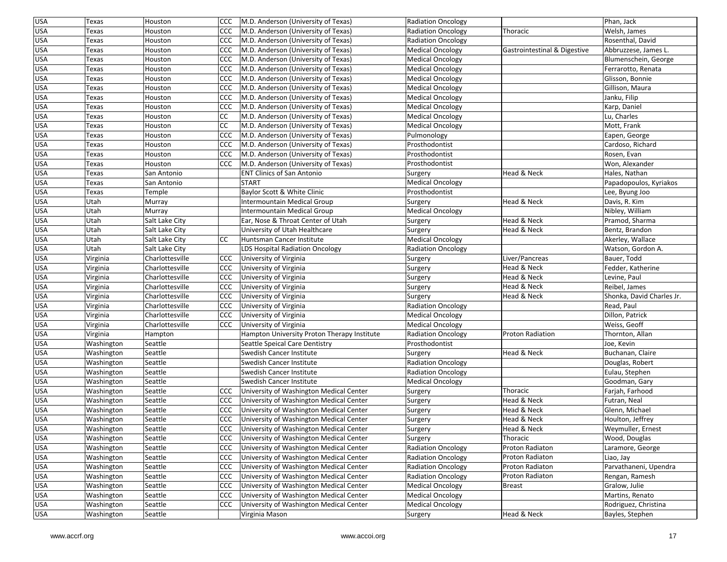| <b>USA</b> | Texas      | Houston         | ccc <sub>1</sub> | M.D. Anderson (University of Texas)         | Radiation Oncology        |                              | Phan, Jack                |
|------------|------------|-----------------|------------------|---------------------------------------------|---------------------------|------------------------------|---------------------------|
| <b>USA</b> | Texas      | Houston         | CCC              | M.D. Anderson (University of Texas)         | <b>Radiation Oncology</b> | Thoracic                     | Welsh, James              |
| USA        | Texas      | Houston         | <b>CCC</b>       | M.D. Anderson (University of Texas)         | <b>Radiation Oncology</b> |                              | Rosenthal, David          |
| <b>USA</b> | Texas      | Houston         | CCC              | M.D. Anderson (University of Texas)         | <b>Medical Oncology</b>   | Gastrointestinal & Digestive | Abbruzzese, James L.      |
| <b>USA</b> | Texas      | Houston         | CCC              | M.D. Anderson (University of Texas)         | <b>Medical Oncology</b>   |                              | Blumenschein, George      |
| USA        | Texas      | Houston         | CCC              | M.D. Anderson (University of Texas)         | <b>Medical Oncology</b>   |                              | Ferrarotto, Renata        |
| <b>USA</b> | Texas      | Houston         | <b>CCC</b>       | M.D. Anderson (University of Texas)         | <b>Medical Oncology</b>   |                              | Glisson, Bonnie           |
| USA        | Texas      | Houston         | <b>CCC</b>       | M.D. Anderson (University of Texas)         | <b>Medical Oncology</b>   |                              | Gillison, Maura           |
| <b>USA</b> | Texas      | Houston         | CCC              | M.D. Anderson (University of Texas)         | <b>Medical Oncology</b>   |                              | Janku, Filip              |
| USA        | Texas      | Houston         | <b>CCC</b>       | M.D. Anderson (University of Texas)         | <b>Medical Oncology</b>   |                              | Karp, Daniel              |
| USA        | Texas      | Houston         | CC               | M.D. Anderson (University of Texas)         | <b>Medical Oncology</b>   |                              | Lu, Charles               |
| <b>USA</b> | Texas      | Houston         | CC               | M.D. Anderson (University of Texas)         | <b>Medical Oncology</b>   |                              | Mott, Frank               |
| USA        | Texas      | Houston         | CCC              | M.D. Anderson (University of Texas)         | Pulmonology               |                              | Eapen, George             |
| USA        | Texas      | Houston         | <b>CCC</b>       | M.D. Anderson (University of Texas)         | Prosthodontist            |                              | Cardoso, Richard          |
| USA        | Texas      | Houston         | <b>CCC</b>       | M.D. Anderson (University of Texas)         | Prosthodontist            |                              | Rosen, Evan               |
| <b>USA</b> | Texas      | Houston         | CCC              | M.D. Anderson (University of Texas)         | Prosthodontist            |                              | Won, Alexander            |
| USA        | Texas      | San Antonio     |                  | <b>ENT Clinics of San Antonio</b>           | Surgery                   | Head & Neck                  | Hales, Nathan             |
| <b>USA</b> | Texas      | San Antonio     |                  | <b>START</b>                                | <b>Medical Oncology</b>   |                              | Papadopoulos, Kyriakos    |
| <b>USA</b> | Texas      | Temple          |                  | Baylor Scott & White Clinic                 | Prosthodontist            |                              | Lee, Byung Joo            |
| USA        | Utah       | Murray          |                  | Intermountain Medical Group                 | Surgery                   | Head & Neck                  | Davis, R. Kim             |
| USA        | Utah       | Murray          |                  | Intermountain Medical Group                 | <b>Medical Oncology</b>   |                              | Nibley, William           |
| USA        | Utah       | Salt Lake City  |                  | Ear, Nose & Throat Center of Utah           | Surgery                   | Head & Neck                  | Pramod, Sharma            |
| <b>USA</b> | Utah       | Salt Lake City  |                  | University of Utah Healthcare               | Surgery                   | Head & Neck                  | Bentz, Brandon            |
| USA        | Utah       | Salt Lake City  | CC               | Huntsman Cancer Institute                   | <b>Medical Oncology</b>   |                              | Akerley, Wallace          |
| <b>USA</b> | Utah       | Salt Lake City  |                  | LDS Hospital Radiation Oncology             | <b>Radiation Oncology</b> |                              | Watson, Gordon A.         |
| USA        | Virginia   | Charlottesville | CCC              | University of Virginia                      | Surgery                   | Liver/Pancreas               | Bauer, Todd               |
| <b>USA</b> | Virginia   | Charlottesville | CCC              | University of Virginia                      | Surgery                   | Head & Neck                  | Fedder, Katherine         |
| <b>USA</b> | Virginia   | Charlottesville | <b>CCC</b>       | University of Virginia                      | Surgery                   | Head & Neck                  | Levine, Paul              |
| <b>USA</b> | Virginia   | Charlottesville | CCC              | University of Virginia                      | Surgery                   | Head & Neck                  | Reibel, James             |
| <b>USA</b> | Virginia   | Charlottesville | <b>CCC</b>       | University of Virginia                      | Surgery                   | Head & Neck                  | Shonka, David Charles Jr. |
| USA        | Virginia   | Charlottesville | CCC              | University of Virginia                      | <b>Radiation Oncology</b> |                              | Read, Paul                |
| <b>USA</b> | Virginia   | Charlottesville | <b>CCC</b>       | University of Virginia                      | <b>Medical Oncology</b>   |                              | Dillon, Patrick           |
| USA        | Virginia   | Charlottesville | <b>CCC</b>       | University of Virginia                      | <b>Medical Oncology</b>   |                              | Weiss, Geoff              |
| <b>USA</b> | Virginia   | Hampton         |                  | Hampton University Proton Therapy Institute | <b>Radiation Oncology</b> | <b>Proton Radiation</b>      | Thornton, Allan           |
| <b>USA</b> | Washington | Seattle         |                  | Seattle Speical Care Dentistry              | Prosthodontist            |                              | Joe, Kevin                |
| <b>USA</b> | Washington | Seattle         |                  | Swedish Cancer Institute                    | Surgery                   | Head & Neck                  | Buchanan, Claire          |
| <b>USA</b> | Washington | Seattle         |                  | Swedish Cancer Institute                    | <b>Radiation Oncology</b> |                              | Douglas, Robert           |
| <b>USA</b> | Washington | Seattle         |                  | Swedish Cancer Institute                    | <b>Radiation Oncology</b> |                              | Eulau, Stephen            |
| USA        | Washington | Seattle         |                  | Swedish Cancer Institute                    |                           |                              | Goodman, Gary             |
| USA        | Washington | Seattle         | CCC              | University of Washington Medical Center     | <b>Medical Oncology</b>   | Thoracic                     | Farjah, Farhood           |
| <b>USA</b> | Washington | Seattle         | CCC              | University of Washington Medical Center     | Surgery<br>Surgery        | Head & Neck                  | Futran, Neal              |
| USA        | Washington | Seattle         | CCC              | University of Washington Medical Center     |                           | Head & Neck                  | Glenn, Michael            |
| <b>USA</b> | Washington | Seattle         | ccc              | University of Washington Medical Center     | Surgery                   | Head & Neck                  | Houlton, Jeffrey          |
| <b>USA</b> |            | Seattle         |                  | CCC University of Washington Medical Center | Surgery                   | Head & Neck                  | Weymuller, Ernest         |
|            | Washington |                 |                  |                                             | Surgery                   |                              |                           |
| <b>USA</b> | Washington | Seattle         | CCC              | University of Washington Medical Center     | Surgery                   | Thoracic                     | Wood, Douglas             |
| <b>USA</b> | Washington | Seattle         | <b>CCC</b>       | University of Washington Medical Center     | <b>Radiation Oncology</b> | Proton Radiaton              | Laramore, George          |
| <b>USA</b> | Washington | Seattle         | <b>CCC</b>       | University of Washington Medical Center     | <b>Radiation Oncology</b> | Proton Radiaton              | Liao, Jay                 |
| <b>USA</b> | Washington | Seattle         | <b>CCC</b>       | University of Washington Medical Center     | <b>Radiation Oncology</b> | Proton Radiaton              | Parvathaneni, Upendra     |
| USA        | Washington | Seattle         | <b>CCC</b>       | University of Washington Medical Center     | <b>Radiation Oncology</b> | Proton Radiaton              | Rengan, Ramesh            |
| <b>USA</b> | Washington | Seattle         | <b>CCC</b>       | University of Washington Medical Center     | <b>Medical Oncology</b>   | Breast                       | Gralow, Julie             |
| <b>USA</b> | Washington | Seattle         | CCC              | University of Washington Medical Center     | <b>Medical Oncology</b>   |                              | Martins, Renato           |
| <b>USA</b> | Washington | Seattle         | CCC              | University of Washington Medical Center     | <b>Medical Oncology</b>   |                              | Rodriguez, Christina      |
| <b>USA</b> | Washington | Seattle         |                  | Virginia Mason                              | Surgery                   | Head & Neck                  | Bayles, Stephen           |